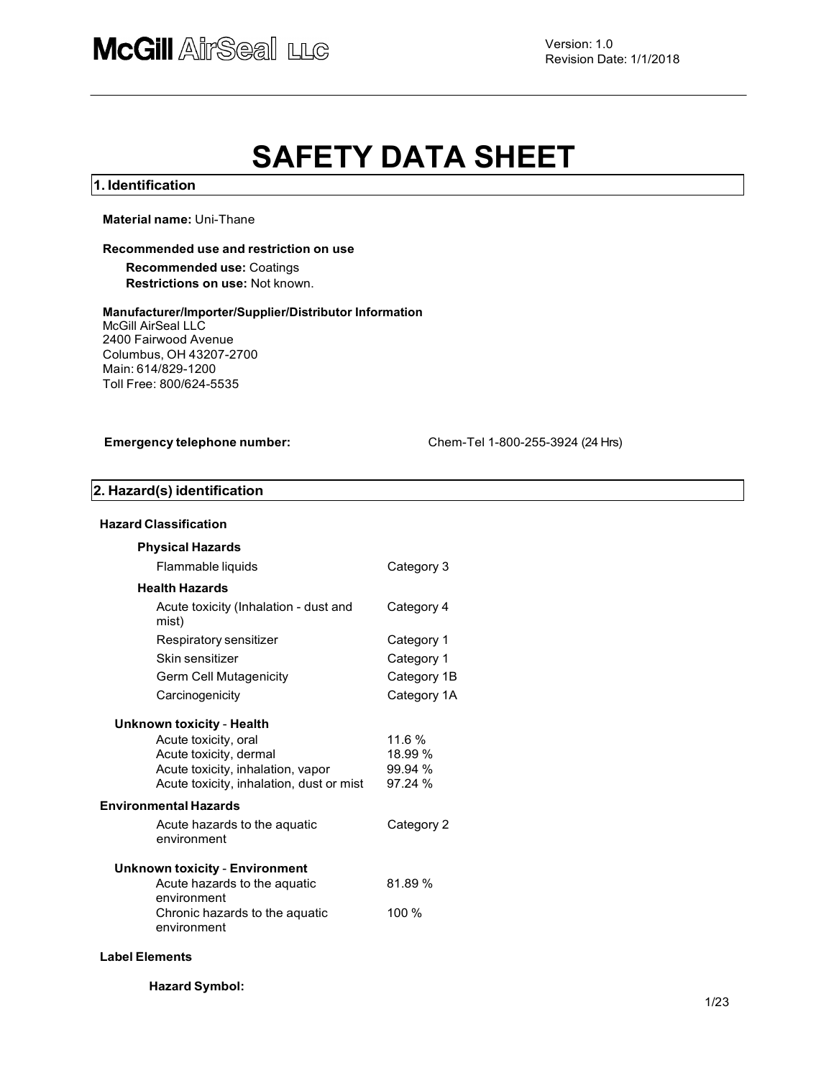# SAFETY DATA SHEET

#### 1. Identification

Material name: Uni-Thane

#### Recommended use and restriction on use

#### Recommended use: Coatings Restrictions on use: Not known.

#### Manufacturer/Importer/Supplier/Distributor Information McGill AirSeal LLC

2400 Fairwood Avenue Columbus, OH 43207-2700 Main: 614/829-1200 Toll Free: 800/624-5535

Emergency telephone number: Chem-Tel 1-800-255-3924 (24 Hrs)

# 2. Hazard(s) identification

| <b>Hazard Classification</b>                                                                                                    |                                         |
|---------------------------------------------------------------------------------------------------------------------------------|-----------------------------------------|
| <b>Physical Hazards</b>                                                                                                         |                                         |
| Flammable liquids                                                                                                               | Category 3                              |
| <b>Health Hazards</b>                                                                                                           |                                         |
| Acute toxicity (Inhalation - dust and<br>mist)                                                                                  | Category 4                              |
| Respiratory sensitizer                                                                                                          | Category 1                              |
| Skin sensitizer                                                                                                                 | Category 1                              |
| Germ Cell Mutagenicity                                                                                                          | Category 1B                             |
| Carcinogenicity                                                                                                                 | Category 1A                             |
| <b>Unknown toxicity - Health</b>                                                                                                |                                         |
| Acute toxicity, oral<br>Acute toxicity, dermal<br>Acute toxicity, inhalation, vapor<br>Acute toxicity, inhalation, dust or mist | 11.6 %<br>18.99 %<br>99.94 %<br>97.24 % |
| <b>Environmental Hazards</b>                                                                                                    |                                         |
| Acute hazards to the aquatic<br>environment                                                                                     | Category 2                              |
| <b>Unknown toxicity - Environment</b>                                                                                           |                                         |
| Acute hazards to the aquatic<br>environment                                                                                     | 81.89%                                  |
| Chronic hazards to the aquatic<br>environment                                                                                   | 100 %                                   |

#### Label Elements

Hazard Symbol: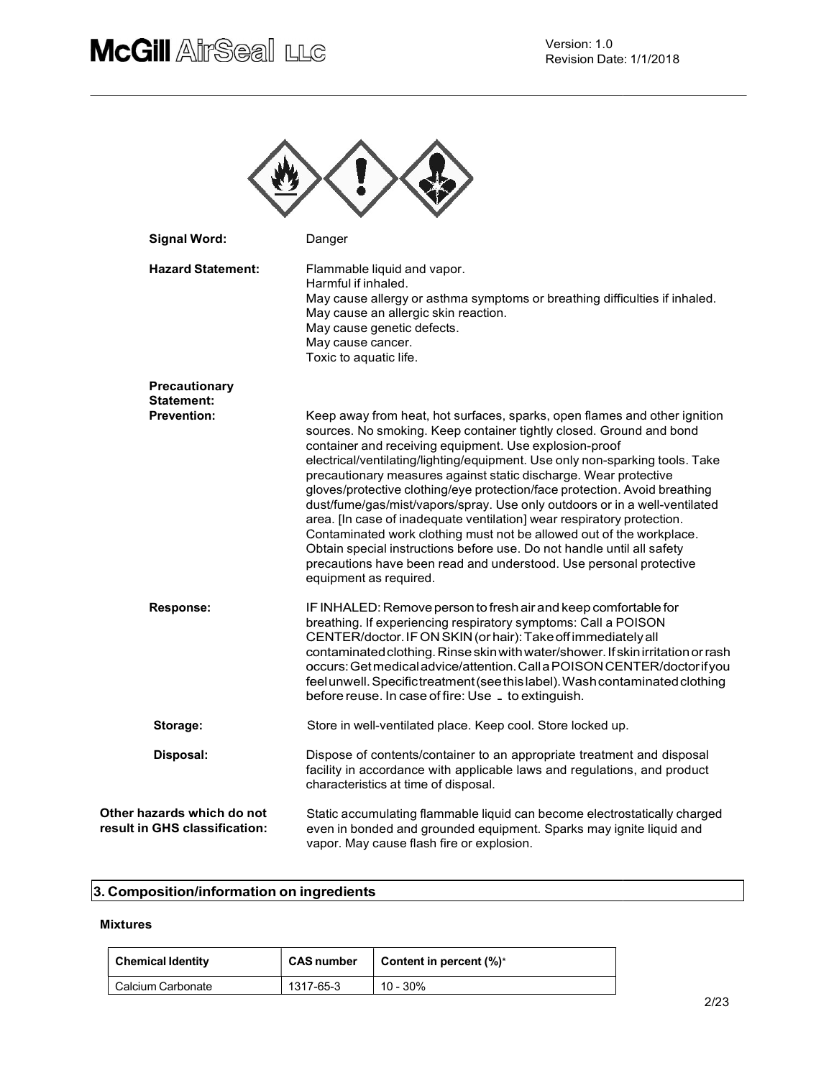# **McGill AirSeal LLC**



| <b>Signal Word:</b>                                         | Danger                                                                                                                                                                                                                                                                                                                                                                                                                                                                                                                                                                                                                                                                                                                                                                                                                                                 |
|-------------------------------------------------------------|--------------------------------------------------------------------------------------------------------------------------------------------------------------------------------------------------------------------------------------------------------------------------------------------------------------------------------------------------------------------------------------------------------------------------------------------------------------------------------------------------------------------------------------------------------------------------------------------------------------------------------------------------------------------------------------------------------------------------------------------------------------------------------------------------------------------------------------------------------|
| <b>Hazard Statement:</b>                                    | Flammable liquid and vapor.<br>Harmful if inhaled.<br>May cause allergy or asthma symptoms or breathing difficulties if inhaled.<br>May cause an allergic skin reaction.<br>May cause genetic defects.<br>May cause cancer.<br>Toxic to aquatic life.                                                                                                                                                                                                                                                                                                                                                                                                                                                                                                                                                                                                  |
| Precautionary                                               |                                                                                                                                                                                                                                                                                                                                                                                                                                                                                                                                                                                                                                                                                                                                                                                                                                                        |
| <b>Statement:</b><br><b>Prevention:</b>                     | Keep away from heat, hot surfaces, sparks, open flames and other ignition<br>sources. No smoking. Keep container tightly closed. Ground and bond<br>container and receiving equipment. Use explosion-proof<br>electrical/ventilating/lighting/equipment. Use only non-sparking tools. Take<br>precautionary measures against static discharge. Wear protective<br>gloves/protective clothing/eye protection/face protection. Avoid breathing<br>dust/fume/gas/mist/vapors/spray. Use only outdoors or in a well-ventilated<br>area. [In case of inadequate ventilation] wear respiratory protection.<br>Contaminated work clothing must not be allowed out of the workplace.<br>Obtain special instructions before use. Do not handle until all safety<br>precautions have been read and understood. Use personal protective<br>equipment as required. |
| Response:                                                   | IF INHALED: Remove person to fresh air and keep comfortable for<br>breathing. If experiencing respiratory symptoms: Call a POISON<br>CENTER/doctor. IF ON SKIN (or hair): Take off immediately all<br>contaminated clothing. Rinse skin with water/shower. If skin irritation or rash<br>occurs: Get medical advice/attention. Call a POISON CENTER/doctor if you<br>feel unwell. Specific treatment (see this label). Wash contaminated clothing<br>before reuse. In case of fire: Use _ to extinguish.                                                                                                                                                                                                                                                                                                                                               |
| Storage:                                                    | Store in well-ventilated place. Keep cool. Store locked up.                                                                                                                                                                                                                                                                                                                                                                                                                                                                                                                                                                                                                                                                                                                                                                                            |
| Disposal:                                                   | Dispose of contents/container to an appropriate treatment and disposal<br>facility in accordance with applicable laws and regulations, and product<br>characteristics at time of disposal.                                                                                                                                                                                                                                                                                                                                                                                                                                                                                                                                                                                                                                                             |
| Other hazards which do not<br>result in GHS classification: | Static accumulating flammable liquid can become electrostatically charged<br>even in bonded and grounded equipment. Sparks may ignite liquid and<br>vapor. May cause flash fire or explosion.                                                                                                                                                                                                                                                                                                                                                                                                                                                                                                                                                                                                                                                          |

# 3. Composition/information on ingredients

#### Mixtures

| <b>Chemical Identity</b> | <b>CAS number</b> | Content in percent $(\%)^*$ |
|--------------------------|-------------------|-----------------------------|
| Calcium Carbonate        | 1317-65-3         | 10 - 30%                    |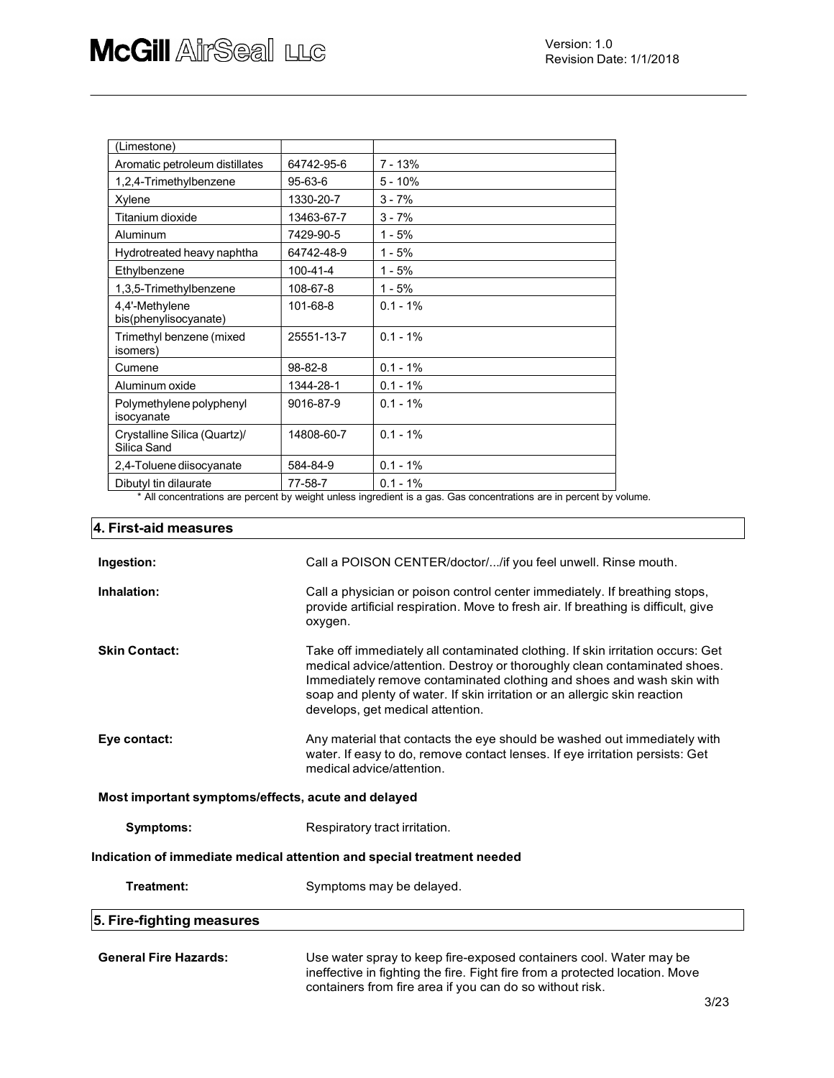| (Limestone)                                 |                |             |
|---------------------------------------------|----------------|-------------|
| Aromatic petroleum distillates              | 64742-95-6     | 7 - 13%     |
| 1,2,4-Trimethylbenzene                      | 95-63-6        | $5 - 10%$   |
| Xylene                                      | 1330-20-7      | $3 - 7%$    |
| Titanium dioxide                            | 13463-67-7     | $3 - 7%$    |
| Aluminum                                    | 7429-90-5      | $1 - 5%$    |
| Hydrotreated heavy naphtha                  | 64742-48-9     | $1 - 5%$    |
| Ethylbenzene                                | $100 - 41 - 4$ | $1 - 5%$    |
| 1,3,5-Trimethylbenzene                      | 108-67-8       | $1 - 5%$    |
| 4,4'-Methylene<br>bis(phenylisocyanate)     | 101-68-8       | $0.1 - 1%$  |
| Trimethyl benzene (mixed<br>isomers)        | 25551-13-7     | $0.1 - 1\%$ |
| Cumene                                      | 98-82-8        | $0.1 - 1%$  |
| Aluminum oxide                              | 1344-28-1      | $0.1 - 1%$  |
| Polymethylene polyphenyl<br>isocyanate      | 9016-87-9      | $0.1 - 1\%$ |
| Crystalline Silica (Quartz)/<br>Silica Sand | 14808-60-7     | $0.1 - 1\%$ |
| 2,4-Toluene diisocyanate                    | 584-84-9       | $0.1 - 1%$  |
| Dibutyl tin dilaurate                       | 77-58-7        | $0.1 - 1%$  |

\* All concentrations are percent by weight unless ingredient is a gas. Gas concentrations are in percent by volume.

| 4. First-aid measures                              |                                                                                                                                                                                                                                                                                                                                                       |  |  |  |  |  |
|----------------------------------------------------|-------------------------------------------------------------------------------------------------------------------------------------------------------------------------------------------------------------------------------------------------------------------------------------------------------------------------------------------------------|--|--|--|--|--|
| Ingestion:                                         | Call a POISON CENTER/doctor//if you feel unwell. Rinse mouth.                                                                                                                                                                                                                                                                                         |  |  |  |  |  |
| Inhalation:                                        | Call a physician or poison control center immediately. If breathing stops,<br>provide artificial respiration. Move to fresh air. If breathing is difficult, give<br>oxygen.                                                                                                                                                                           |  |  |  |  |  |
| <b>Skin Contact:</b>                               | Take off immediately all contaminated clothing. If skin irritation occurs: Get<br>medical advice/attention. Destroy or thoroughly clean contaminated shoes.<br>Immediately remove contaminated clothing and shoes and wash skin with<br>soap and plenty of water. If skin irritation or an allergic skin reaction<br>develops, get medical attention. |  |  |  |  |  |
| Eye contact:                                       | Any material that contacts the eye should be washed out immediately with<br>water. If easy to do, remove contact lenses. If eye irritation persists: Get<br>medical advice/attention.                                                                                                                                                                 |  |  |  |  |  |
| Most important symptoms/effects, acute and delayed |                                                                                                                                                                                                                                                                                                                                                       |  |  |  |  |  |
| Symptoms:                                          | Respiratory tract irritation.                                                                                                                                                                                                                                                                                                                         |  |  |  |  |  |
|                                                    | Indication of immediate medical attention and special treatment needed                                                                                                                                                                                                                                                                                |  |  |  |  |  |
| Treatment:                                         | Symptoms may be delayed.                                                                                                                                                                                                                                                                                                                              |  |  |  |  |  |
| 5. Fire-fighting measures                          |                                                                                                                                                                                                                                                                                                                                                       |  |  |  |  |  |
| <b>General Fire Hazards:</b>                       | Use water spray to keep fire-exposed containers cool. Water may be<br>ineffective in fighting the fire. Fight fire from a protected location. Move<br>containers from fire area if you can do so without risk.                                                                                                                                        |  |  |  |  |  |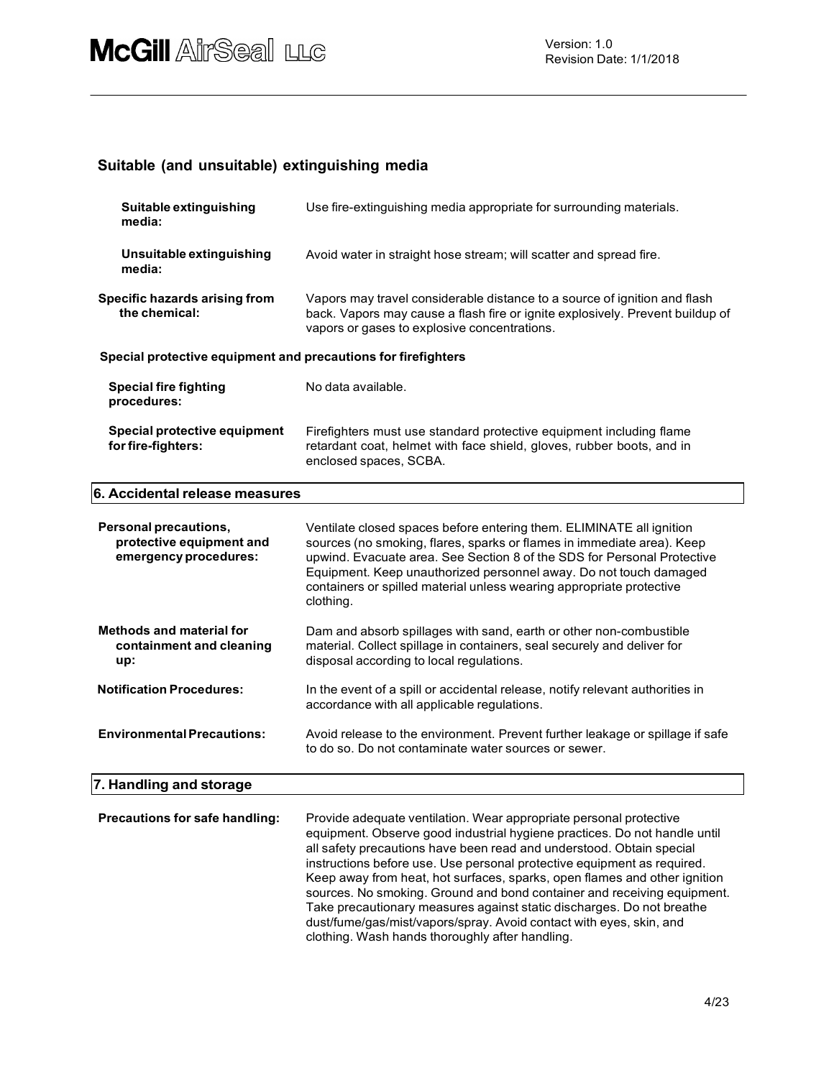# Suitable (and unsuitable) extinguishing media

| Suitable extinguishing<br>media:                                           | Use fire-extinguishing media appropriate for surrounding materials.                                                                                                                                                                                                                                                                                                                 |  |  |  |
|----------------------------------------------------------------------------|-------------------------------------------------------------------------------------------------------------------------------------------------------------------------------------------------------------------------------------------------------------------------------------------------------------------------------------------------------------------------------------|--|--|--|
| Unsuitable extinguishing<br>media:                                         | Avoid water in straight hose stream; will scatter and spread fire.                                                                                                                                                                                                                                                                                                                  |  |  |  |
| Specific hazards arising from<br>the chemical:                             | Vapors may travel considerable distance to a source of ignition and flash<br>back. Vapors may cause a flash fire or ignite explosively. Prevent buildup of<br>vapors or gases to explosive concentrations.                                                                                                                                                                          |  |  |  |
| Special protective equipment and precautions for firefighters              |                                                                                                                                                                                                                                                                                                                                                                                     |  |  |  |
| <b>Special fire fighting</b><br>procedures:                                | No data available.                                                                                                                                                                                                                                                                                                                                                                  |  |  |  |
| Special protective equipment<br>for fire-fighters:                         | Firefighters must use standard protective equipment including flame<br>retardant coat, helmet with face shield, gloves, rubber boots, and in<br>enclosed spaces, SCBA.                                                                                                                                                                                                              |  |  |  |
| 6. Accidental release measures                                             |                                                                                                                                                                                                                                                                                                                                                                                     |  |  |  |
| Personal precautions,<br>protective equipment and<br>emergency procedures: | Ventilate closed spaces before entering them. ELIMINATE all ignition<br>sources (no smoking, flares, sparks or flames in immediate area). Keep<br>upwind. Evacuate area. See Section 8 of the SDS for Personal Protective<br>Equipment. Keep unauthorized personnel away. Do not touch damaged<br>containers or spilled material unless wearing appropriate protective<br>clothing. |  |  |  |
| <b>Methods and material for</b><br>containment and cleaning<br>up:         | Dam and absorb spillages with sand, earth or other non-combustible<br>material. Collect spillage in containers, seal securely and deliver for<br>disposal according to local regulations.                                                                                                                                                                                           |  |  |  |
| <b>Notification Procedures:</b>                                            | In the event of a spill or accidental release, notify relevant authorities in<br>accordance with all applicable regulations.                                                                                                                                                                                                                                                        |  |  |  |
| <b>Environmental Precautions:</b>                                          | Avoid release to the environment. Prevent further leakage or spillage if safe<br>to do so. Do not contaminate water sources or sewer.                                                                                                                                                                                                                                               |  |  |  |
| 7. Handling and storage                                                    |                                                                                                                                                                                                                                                                                                                                                                                     |  |  |  |
| Precautions for safe handling:                                             | Provide adequate ventilation. Wear appropriate personal protective<br>equipment. Observe good industrial hygiene practices. Do not handle until<br>all safety precautions have been read and understood. Obtain special                                                                                                                                                             |  |  |  |

instructions before use. Use personal protective equipment as required. Keep away from heat, hot surfaces, sparks, open flames and other ignition sources. No smoking. Ground and bond container and receiving equipment. Take precautionary measures against static discharges. Do not breathe dust/fume/gas/mist/vapors/spray. Avoid contact with eyes, skin, and clothing. Wash hands thoroughly after handling.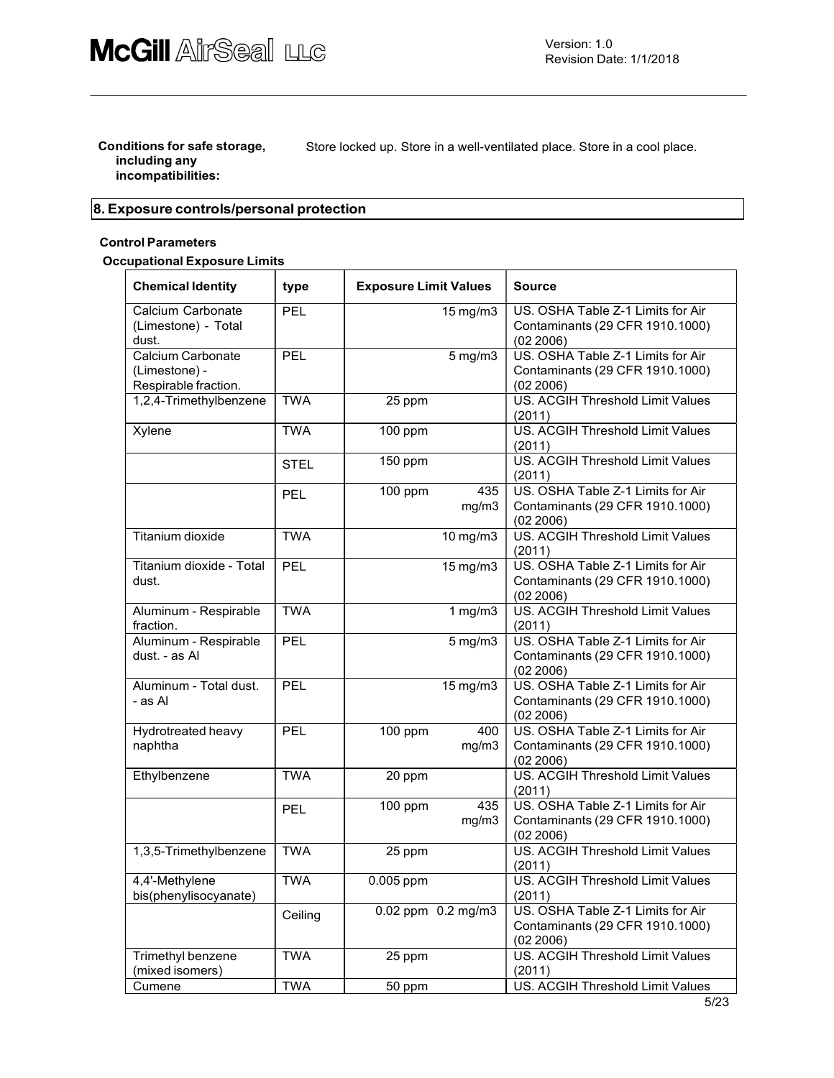#### Conditions for safe storage, including any incompatibilities:

Store locked up. Store in a well-ventilated place. Store in a cool place.

# 8. Exposure controls/personal protection

#### Control Parameters

#### Occupational Exposure Limits

| <b>Chemical Identity</b>                                   | type        | <b>Exposure Limit Values</b> |                        | <b>Source</b>                                                                     |
|------------------------------------------------------------|-------------|------------------------------|------------------------|-----------------------------------------------------------------------------------|
| Calcium Carbonate<br>(Limestone) - Total<br>dust.          | <b>PEL</b>  |                              | 15 mg/m3               | US. OSHA Table Z-1 Limits for Air<br>Contaminants (29 CFR 1910.1000)<br>(02 2006) |
| Calcium Carbonate<br>(Limestone) -<br>Respirable fraction. | <b>PEL</b>  |                              | $5$ mg/m $3$           | US. OSHA Table Z-1 Limits for Air<br>Contaminants (29 CFR 1910.1000)<br>(02 2006) |
| 1,2,4-Trimethylbenzene                                     | <b>TWA</b>  | 25 ppm                       |                        | US. ACGIH Threshold Limit Values<br>(2011)                                        |
| Xylene                                                     | <b>TWA</b>  | 100 ppm                      |                        | US. ACGIH Threshold Limit Values<br>(2011)                                        |
|                                                            | <b>STEL</b> | 150 ppm                      |                        | US. ACGIH Threshold Limit Values<br>(2011)                                        |
|                                                            | <b>PEL</b>  | 100 ppm                      | 435<br>mg/m3           | US. OSHA Table Z-1 Limits for Air<br>Contaminants (29 CFR 1910.1000)<br>(02 2006) |
| Titanium dioxide                                           | <b>TWA</b>  |                              | 10 mg/m3               | US. ACGIH Threshold Limit Values<br>(2011)                                        |
| Titanium dioxide - Total<br>dust.                          | PEL         |                              | 15 mg/m3               | US. OSHA Table Z-1 Limits for Air<br>Contaminants (29 CFR 1910.1000)<br>(02 2006) |
| Aluminum - Respirable<br>fraction.                         | <b>TWA</b>  |                              | $1$ mg/m $3$           | US. ACGIH Threshold Limit Values<br>(2011)                                        |
| Aluminum - Respirable<br>dust. - as Al                     | PEL         |                              | $5$ mg/m $3$           | US. OSHA Table Z-1 Limits for Air<br>Contaminants (29 CFR 1910.1000)<br>(02 2006) |
| Aluminum - Total dust.<br>- as Al                          | PEL         |                              | 15 mg/m3               | US. OSHA Table Z-1 Limits for Air<br>Contaminants (29 CFR 1910.1000)<br>(02 2006) |
| Hydrotreated heavy<br>naphtha                              | PEL         | 100 ppm                      | 400<br>mg/m3           | US. OSHA Table Z-1 Limits for Air<br>Contaminants (29 CFR 1910.1000)<br>(02 2006) |
| Ethylbenzene                                               | <b>TWA</b>  | 20 ppm                       |                        | US. ACGIH Threshold Limit Values<br>(2011)                                        |
|                                                            | PEL         | 100 ppm                      | 435<br>mg/m3           | US. OSHA Table Z-1 Limits for Air<br>Contaminants (29 CFR 1910.1000)<br>(02 2006) |
| 1,3,5-Trimethylbenzene                                     | <b>TWA</b>  | 25 ppm                       |                        | US. ACGIH Threshold Limit Values<br>(2011)                                        |
| 4,4'-Methylene<br>bis(phenylisocyanate)                    | <b>TWA</b>  | 0.005 ppm                    |                        | US. ACGIH Threshold Limit Values<br>(2011)                                        |
|                                                            | Ceiling     |                              | $0.02$ ppm $0.2$ mg/m3 | US. OSHA Table Z-1 Limits for Air<br>Contaminants (29 CFR 1910.1000)<br>(02 2006) |
| Trimethyl benzene<br>(mixed isomers)                       | <b>TWA</b>  | 25 ppm                       |                        | US. ACGIH Threshold Limit Values<br>(2011)                                        |
| Cumene                                                     | <b>TWA</b>  | 50 ppm                       |                        | US. ACGIH Threshold Limit Values                                                  |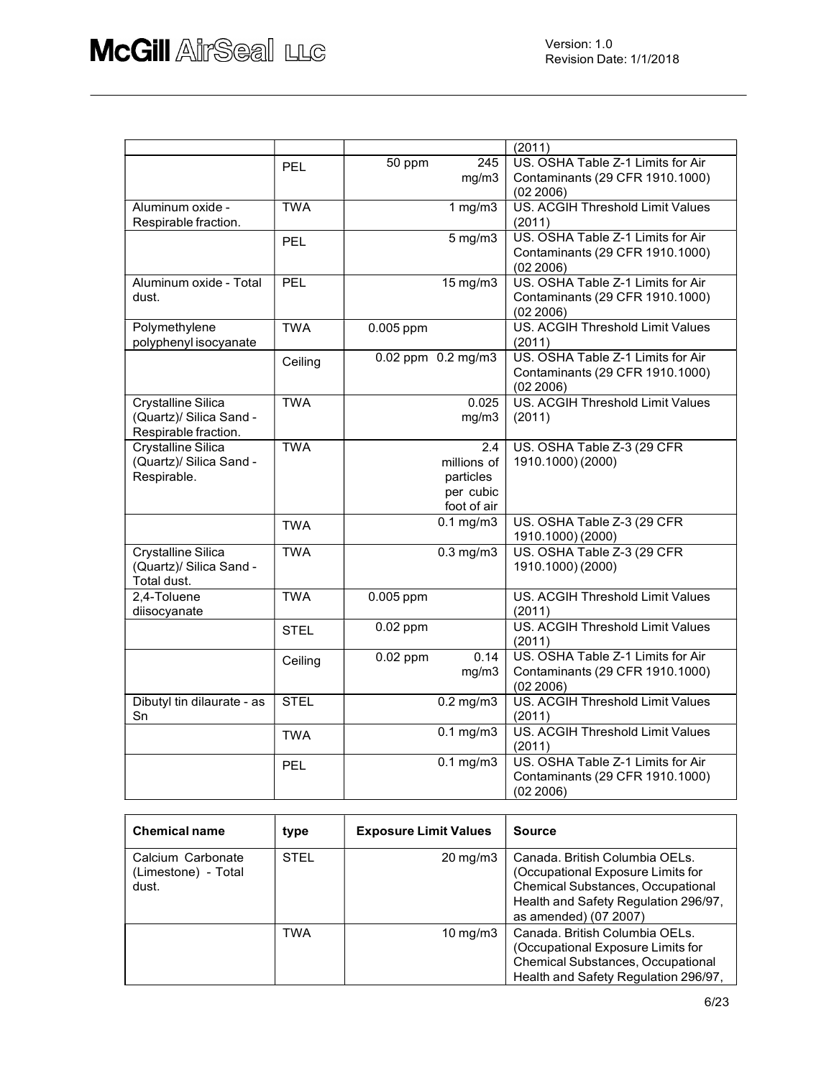|                            |             |                        | (2011)                                  |
|----------------------------|-------------|------------------------|-----------------------------------------|
|                            | PEL         | 245<br>50 ppm          | US. OSHA Table Z-1 Limits for Air       |
|                            |             | mg/m3                  | Contaminants (29 CFR 1910.1000)         |
|                            |             |                        | (02 2006)                               |
| Aluminum oxide -           | <b>TWA</b>  | 1 $mg/m3$              | <b>US. ACGIH Threshold Limit Values</b> |
| Respirable fraction.       |             |                        | (2011)                                  |
|                            | PEL         | $5$ mg/m $3$           | US. OSHA Table Z-1 Limits for Air       |
|                            |             |                        | Contaminants (29 CFR 1910.1000)         |
|                            |             |                        | (02 2006)                               |
| Aluminum oxide - Total     | PEL         | 15 mg/m3               | US. OSHA Table Z-1 Limits for Air       |
| dust.                      |             |                        | Contaminants (29 CFR 1910.1000)         |
|                            |             |                        | (02 2006)                               |
| Polymethylene              | <b>TWA</b>  | 0.005 ppm              | <b>US. ACGIH Threshold Limit Values</b> |
| polyphenyl isocyanate      |             |                        | (2011)                                  |
|                            |             |                        | US. OSHA Table Z-1 Limits for Air       |
|                            | Ceiling     | 0.02 ppm 0.2 mg/m3     |                                         |
|                            |             |                        | Contaminants (29 CFR 1910.1000)         |
|                            |             |                        | (02 2006)                               |
| <b>Crystalline Silica</b>  | <b>TWA</b>  | 0.025                  | <b>US. ACGIH Threshold Limit Values</b> |
| (Quartz)/ Silica Sand -    |             | mg/m3                  | (2011)                                  |
| Respirable fraction.       |             |                        |                                         |
| <b>Crystalline Silica</b>  | <b>TWA</b>  | 2.4                    | US. OSHA Table Z-3 (29 CFR              |
| (Quartz)/ Silica Sand -    |             | millions of            | 1910.1000) (2000)                       |
| Respirable.                |             | particles              |                                         |
|                            |             | per cubic              |                                         |
|                            |             | foot of air            |                                         |
|                            | <b>TWA</b>  | $0.1$ mg/m $3$         | US. OSHA Table Z-3 (29 CFR              |
|                            |             |                        | 1910.1000) (2000)                       |
| <b>Crystalline Silica</b>  | <b>TWA</b>  | $0.3$ mg/m $3$         | US. OSHA Table Z-3 (29 CFR              |
| (Quartz)/ Silica Sand -    |             |                        | 1910.1000) (2000)                       |
| Total dust.                |             |                        |                                         |
| 2,4-Toluene                | <b>TWA</b>  | 0.005 ppm              | US. ACGIH Threshold Limit Values        |
| diisocyanate               |             |                        | (2011)                                  |
|                            |             | $0.02$ ppm             | US. ACGIH Threshold Limit Values        |
|                            | <b>STEL</b> |                        | (2011)                                  |
|                            |             | $0.02$ ppm<br>0.14     | US. OSHA Table Z-1 Limits for Air       |
|                            | Ceiling     |                        |                                         |
|                            |             | mg/m3                  | Contaminants (29 CFR 1910.1000)         |
|                            |             |                        | (02 2006)                               |
| Dibutyl tin dilaurate - as | <b>STEL</b> | $0.2$ mg/m $3$         | <b>US. ACGIH Threshold Limit Values</b> |
| Sn                         |             |                        | (2011)                                  |
|                            | <b>TWA</b>  | $0.1$ mg/m $3$         | US. ACGIH Threshold Limit Values        |
|                            |             |                        | (2011)                                  |
|                            | PEL         | $\overline{0.1}$ mg/m3 | US. OSHA Table Z-1 Limits for Air       |
|                            |             |                        | Contaminants (29 CFR 1910.1000)         |
|                            |             |                        | (02 2006)                               |

| <b>Chemical name</b>                              | type        | <b>Exposure Limit Values</b> | <b>Source</b>                                                                                                                                                                    |
|---------------------------------------------------|-------------|------------------------------|----------------------------------------------------------------------------------------------------------------------------------------------------------------------------------|
| Calcium Carbonate<br>(Limestone) - Total<br>dust. | <b>STEL</b> | $20 \,\mathrm{mq/m}$ 3       | Canada. British Columbia OELs.<br>(Occupational Exposure Limits for<br><b>Chemical Substances, Occupational</b><br>Health and Safety Regulation 296/97,<br>as amended) (07 2007) |
|                                                   | <b>TWA</b>  | $10 \,\mathrm{mq/m}$         | Canada, British Columbia OELs.<br>(Occupational Exposure Limits for<br><b>Chemical Substances, Occupational</b><br>Health and Safety Regulation 296/97,                          |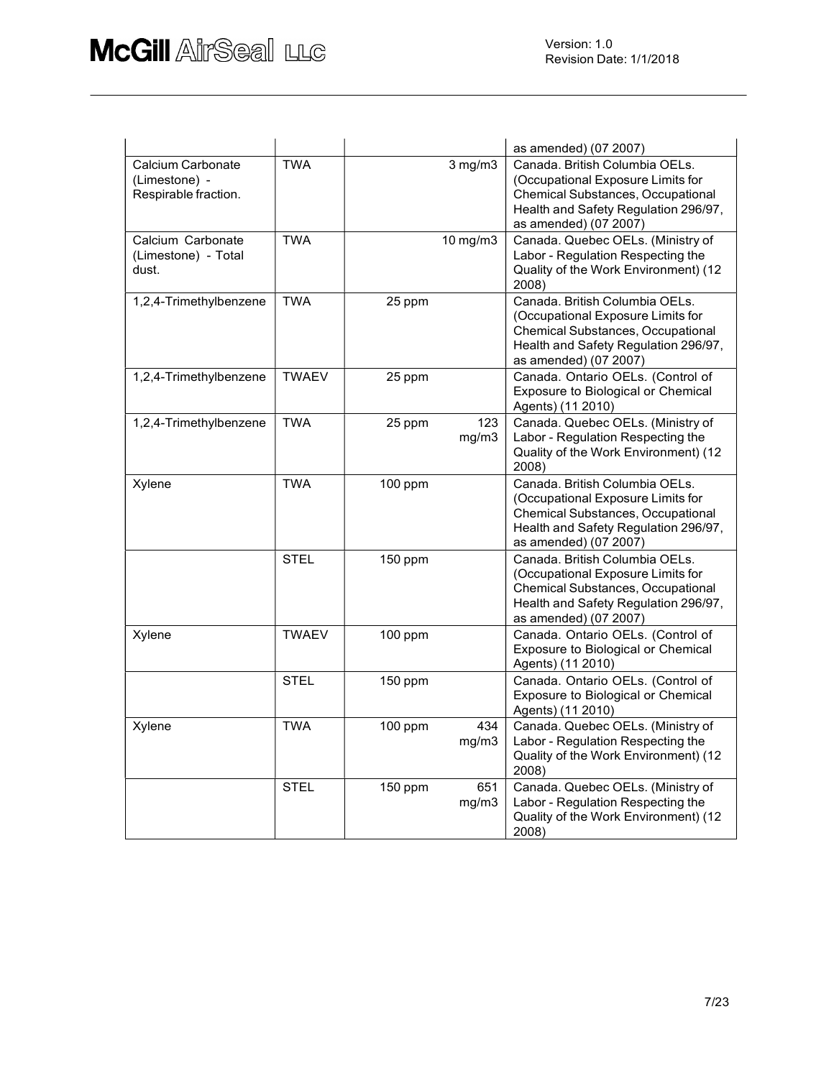|                                                            |              |         |               | as amended) (07 2007)                                                                                                                                                     |
|------------------------------------------------------------|--------------|---------|---------------|---------------------------------------------------------------------------------------------------------------------------------------------------------------------------|
| Calcium Carbonate<br>(Limestone) -<br>Respirable fraction. | <b>TWA</b>   |         | $3$ mg/m $3$  | Canada, British Columbia OELs.<br>(Occupational Exposure Limits for<br>Chemical Substances, Occupational<br>Health and Safety Regulation 296/97,<br>as amended) (07 2007) |
| Calcium Carbonate<br>(Limestone) - Total<br>dust.          | <b>TWA</b>   |         | $10$ mg/m $3$ | Canada. Quebec OELs. (Ministry of<br>Labor - Regulation Respecting the<br>Quality of the Work Environment) (12<br>2008)                                                   |
| 1,2,4-Trimethylbenzene                                     | <b>TWA</b>   | 25 ppm  |               | Canada. British Columbia OELs.<br>(Occupational Exposure Limits for<br>Chemical Substances, Occupational<br>Health and Safety Regulation 296/97,<br>as amended) (07 2007) |
| 1,2,4-Trimethylbenzene                                     | <b>TWAEV</b> | 25 ppm  |               | Canada. Ontario OELs. (Control of<br>Exposure to Biological or Chemical<br>Agents) (11 2010)                                                                              |
| 1,2,4-Trimethylbenzene                                     | <b>TWA</b>   | 25 ppm  | 123<br>mg/m3  | Canada. Quebec OELs. (Ministry of<br>Labor - Regulation Respecting the<br>Quality of the Work Environment) (12<br>2008)                                                   |
| Xylene                                                     | <b>TWA</b>   | 100 ppm |               | Canada. British Columbia OELs.<br>(Occupational Exposure Limits for<br>Chemical Substances, Occupational<br>Health and Safety Regulation 296/97,<br>as amended) (07 2007) |
|                                                            | <b>STEL</b>  | 150 ppm |               | Canada. British Columbia OELs.<br>(Occupational Exposure Limits for<br>Chemical Substances, Occupational<br>Health and Safety Regulation 296/97,<br>as amended) (07 2007) |
| Xylene                                                     | <b>TWAEV</b> | 100 ppm |               | Canada. Ontario OELs. (Control of<br>Exposure to Biological or Chemical<br>Agents) (11 2010)                                                                              |
|                                                            | <b>STEL</b>  | 150 ppm |               | Canada. Ontario OELs. (Control of<br>Exposure to Biological or Chemical<br>Agents) (11 2010)                                                                              |
| Xylene                                                     | <b>TWA</b>   | 100 ppm | 434<br>mg/m3  | Canada. Quebec OELs. (Ministry of<br>Labor - Regulation Respecting the<br>Quality of the Work Environment) (12<br>2008)                                                   |
|                                                            | <b>STEL</b>  | 150 ppm | 651<br>mg/m3  | Canada. Quebec OELs. (Ministry of<br>Labor - Regulation Respecting the<br>Quality of the Work Environment) (12<br>2008)                                                   |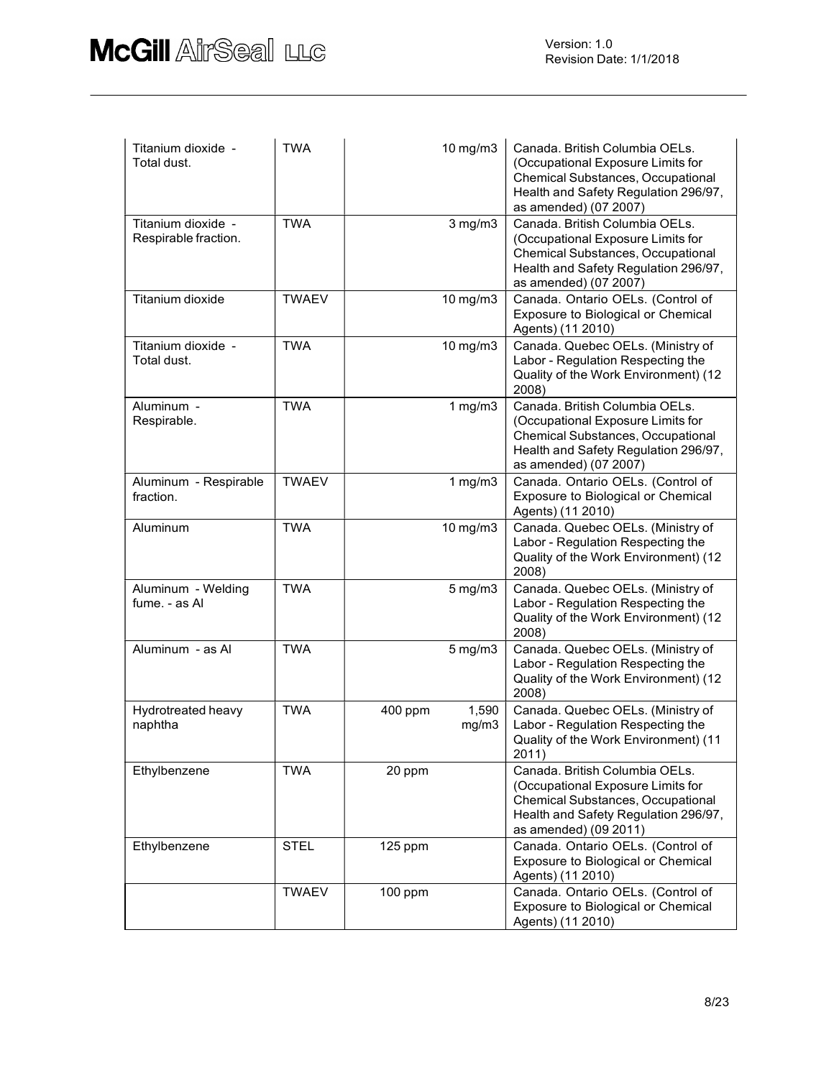| Titanium dioxide -<br>Total dust.          | <b>TWA</b>   |         | 10 mg/m3       | Canada. British Columbia OELs.<br>(Occupational Exposure Limits for<br>Chemical Substances, Occupational<br>Health and Safety Regulation 296/97,<br>as amended) (07 2007) |
|--------------------------------------------|--------------|---------|----------------|---------------------------------------------------------------------------------------------------------------------------------------------------------------------------|
| Titanium dioxide -<br>Respirable fraction. | <b>TWA</b>   |         | $3$ mg/m $3$   | Canada. British Columbia OELs.<br>(Occupational Exposure Limits for<br>Chemical Substances, Occupational<br>Health and Safety Regulation 296/97,<br>as amended) (07 2007) |
| Titanium dioxide                           | <b>TWAEV</b> |         | 10 mg/m3       | Canada. Ontario OELs. (Control of<br>Exposure to Biological or Chemical<br>Agents) (11 2010)                                                                              |
| Titanium dioxide -<br>Total dust.          | <b>TWA</b>   |         | $10$ mg/m $3$  | Canada. Quebec OELs. (Ministry of<br>Labor - Regulation Respecting the<br>Quality of the Work Environment) (12<br>2008)                                                   |
| Aluminum -<br>Respirable.                  | <b>TWA</b>   |         | $1$ mg/m $3$   | Canada. British Columbia OELs.<br>(Occupational Exposure Limits for<br>Chemical Substances, Occupational<br>Health and Safety Regulation 296/97,<br>as amended) (07 2007) |
| Aluminum - Respirable<br>fraction.         | <b>TWAEV</b> |         | 1 $mg/m3$      | Canada. Ontario OELs. (Control of<br>Exposure to Biological or Chemical<br>Agents) (11 2010)                                                                              |
| Aluminum                                   | <b>TWA</b>   |         | 10 mg/m3       | Canada. Quebec OELs. (Ministry of<br>Labor - Regulation Respecting the<br>Quality of the Work Environment) (12<br>2008)                                                   |
| Aluminum - Welding<br>fume. - as Al        | <b>TWA</b>   |         | $5$ mg/m $3$   | Canada. Quebec OELs. (Ministry of<br>Labor - Regulation Respecting the<br>Quality of the Work Environment) (12<br>2008)                                                   |
| Aluminum - as Al                           | <b>TWA</b>   |         | $5$ mg/m $3$   | Canada. Quebec OELs. (Ministry of<br>Labor - Regulation Respecting the<br>Quality of the Work Environment) (12<br>2008)                                                   |
| Hydrotreated heavy<br>naphtha              | <b>TWA</b>   | 400 ppm | 1,590<br>mg/m3 | Canada. Quebec OELs. (Ministry of<br>Labor - Regulation Respecting the<br>Quality of the Work Environment) (11<br>2011)                                                   |
| Ethylbenzene                               | <b>TWA</b>   | 20 ppm  |                | Canada. British Columbia OELs.<br>(Occupational Exposure Limits for<br>Chemical Substances, Occupational<br>Health and Safety Regulation 296/97,<br>as amended) (09 2011) |
| Ethylbenzene                               | <b>STEL</b>  | 125 ppm |                | Canada. Ontario OELs. (Control of<br>Exposure to Biological or Chemical<br>Agents) (11 2010)                                                                              |
|                                            | <b>TWAEV</b> | 100 ppm |                | Canada. Ontario OELs. (Control of<br>Exposure to Biological or Chemical<br>Agents) (11 2010)                                                                              |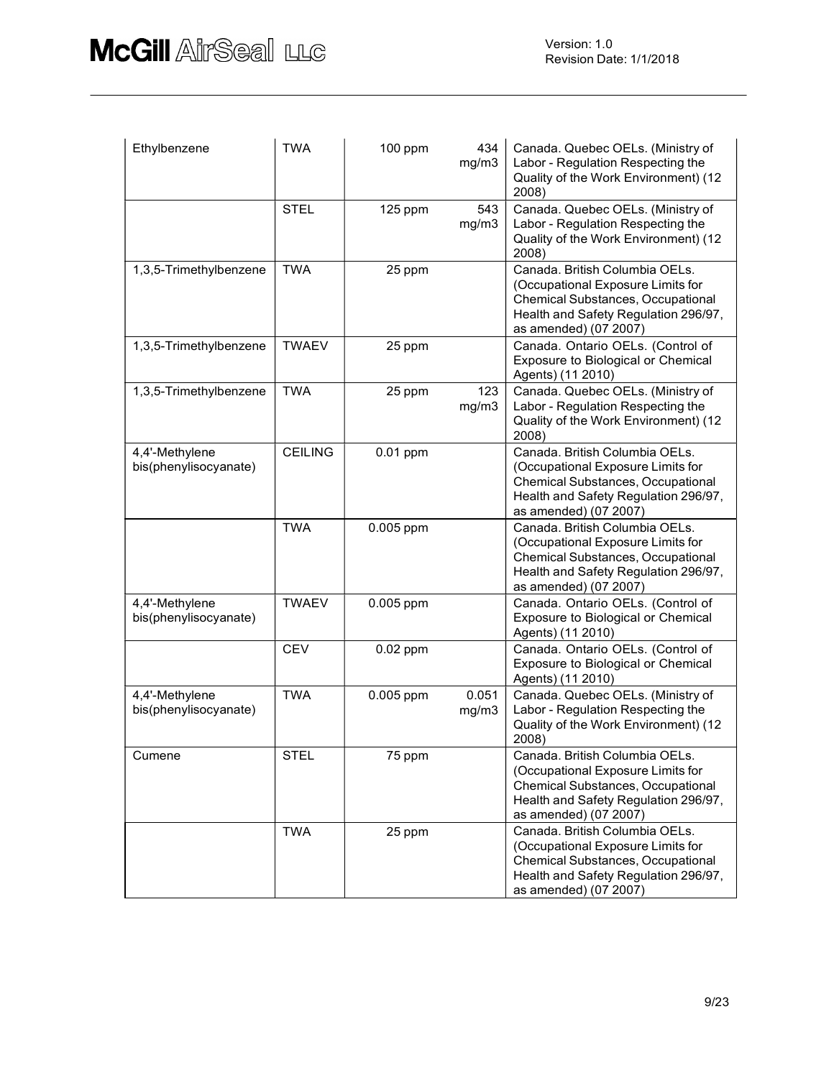| Ethylbenzene                            | <b>TWA</b>     | 100 ppm    | 434<br>mg/m3   | Canada. Quebec OELs. (Ministry of<br>Labor - Regulation Respecting the<br>Quality of the Work Environment) (12<br>2008)                                                          |
|-----------------------------------------|----------------|------------|----------------|----------------------------------------------------------------------------------------------------------------------------------------------------------------------------------|
|                                         | <b>STEL</b>    | 125 ppm    | 543<br>mg/m3   | Canada. Quebec OELs. (Ministry of<br>Labor - Regulation Respecting the<br>Quality of the Work Environment) (12<br>2008)                                                          |
| 1,3,5-Trimethylbenzene                  | <b>TWA</b>     | 25 ppm     |                | Canada. British Columbia OELs.<br>(Occupational Exposure Limits for<br>Chemical Substances, Occupational<br>Health and Safety Regulation 296/97,<br>as amended) (07 2007)        |
| 1,3,5-Trimethylbenzene                  | <b>TWAEV</b>   | 25 ppm     |                | Canada. Ontario OELs. (Control of<br>Exposure to Biological or Chemical<br>Agents) (11 2010)                                                                                     |
| 1,3,5-Trimethylbenzene                  | <b>TWA</b>     | 25 ppm     | 123<br>mg/m3   | Canada. Quebec OELs. (Ministry of<br>Labor - Regulation Respecting the<br>Quality of the Work Environment) (12<br>2008)                                                          |
| 4,4'-Methylene<br>bis(phenylisocyanate) | <b>CEILING</b> | 0.01 ppm   |                | Canada. British Columbia OELs.<br>(Occupational Exposure Limits for<br>Chemical Substances, Occupational<br>Health and Safety Regulation 296/97,<br>as amended) (07 2007)        |
|                                         | <b>TWA</b>     | 0.005 ppm  |                | Canada. British Columbia OELs.<br>(Occupational Exposure Limits for<br>Chemical Substances, Occupational<br>Health and Safety Regulation 296/97,<br>as amended) (07 2007)        |
| 4,4'-Methylene<br>bis(phenylisocyanate) | <b>TWAEV</b>   | 0.005 ppm  |                | Canada. Ontario OELs. (Control of<br>Exposure to Biological or Chemical<br>Agents) (11 2010)                                                                                     |
|                                         | <b>CEV</b>     | $0.02$ ppm |                | Canada. Ontario OELs. (Control of<br>Exposure to Biological or Chemical<br>Agents) (11 2010)                                                                                     |
| 4,4'-Methylene<br>bis(phenylisocyanate) | <b>TWA</b>     | 0.005 ppm  | 0.051<br>mg/m3 | Canada. Quebec OELs. (Ministry of<br>Labor - Regulation Respecting the<br>Quality of the Work Environment) (12<br>2008)                                                          |
| Cumene                                  | <b>STEL</b>    | 75 ppm     |                | Canada. British Columbia OELs.<br>(Occupational Exposure Limits for<br><b>Chemical Substances, Occupational</b><br>Health and Safety Regulation 296/97,<br>as amended) (07 2007) |
|                                         | <b>TWA</b>     | 25 ppm     |                | Canada. British Columbia OELs.<br>(Occupational Exposure Limits for<br>Chemical Substances, Occupational<br>Health and Safety Regulation 296/97,<br>as amended) (07 2007)        |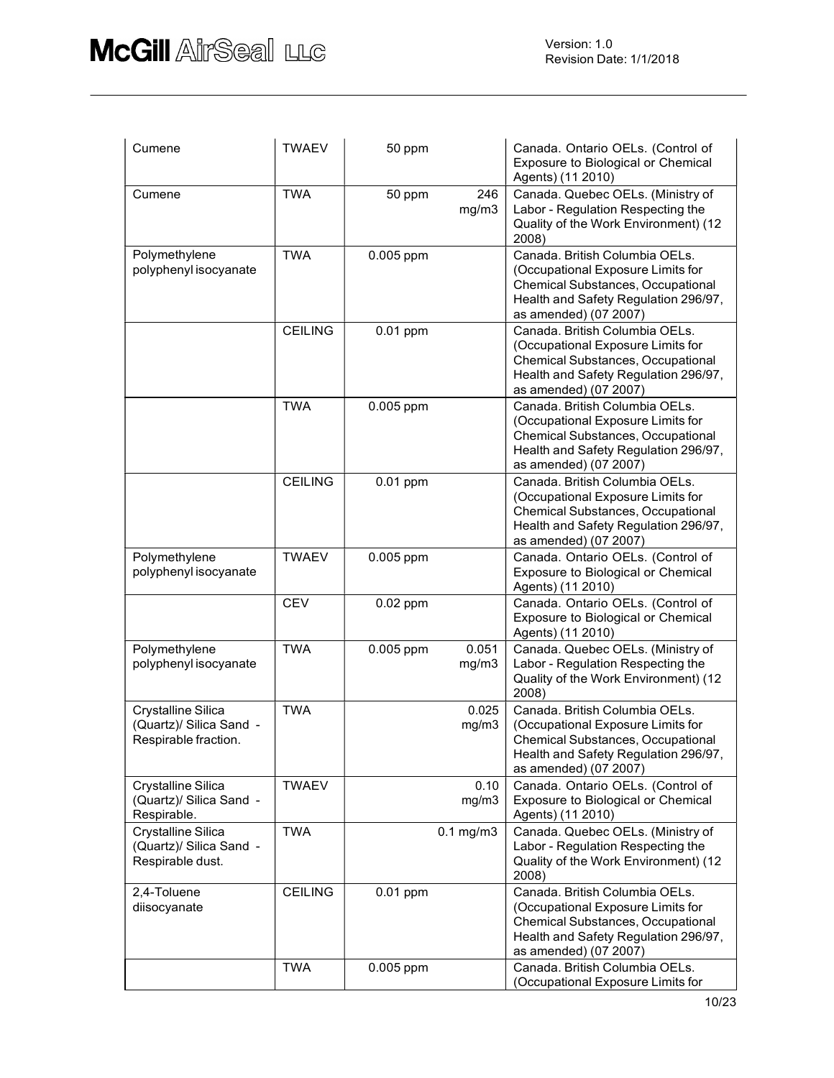| Cumene                                                                | <b>TWAEV</b>   | 50 ppm     |                | Canada. Ontario OELs. (Control of<br>Exposure to Biological or Chemical<br>Agents) (11 2010)                                                                                     |
|-----------------------------------------------------------------------|----------------|------------|----------------|----------------------------------------------------------------------------------------------------------------------------------------------------------------------------------|
| Cumene                                                                | <b>TWA</b>     | 50 ppm     | 246<br>mg/m3   | Canada. Quebec OELs. (Ministry of<br>Labor - Regulation Respecting the<br>Quality of the Work Environment) (12<br>2008)                                                          |
| Polymethylene<br>polyphenyl isocyanate                                | <b>TWA</b>     | 0.005 ppm  |                | Canada. British Columbia OELs.<br>(Occupational Exposure Limits for<br><b>Chemical Substances, Occupational</b><br>Health and Safety Regulation 296/97,<br>as amended) (07 2007) |
|                                                                       | <b>CEILING</b> | 0.01 ppm   |                | Canada. British Columbia OELs.<br>(Occupational Exposure Limits for<br>Chemical Substances, Occupational<br>Health and Safety Regulation 296/97,<br>as amended) (07 2007)        |
|                                                                       | <b>TWA</b>     | 0.005 ppm  |                | Canada. British Columbia OELs.<br>(Occupational Exposure Limits for<br>Chemical Substances, Occupational<br>Health and Safety Regulation 296/97,<br>as amended) (07 2007)        |
|                                                                       | <b>CEILING</b> | 0.01 ppm   |                | Canada. British Columbia OELs.<br>(Occupational Exposure Limits for<br>Chemical Substances, Occupational<br>Health and Safety Regulation 296/97,<br>as amended) (07 2007)        |
| Polymethylene<br>polyphenyl isocyanate                                | <b>TWAEV</b>   | 0.005 ppm  |                | Canada. Ontario OELs. (Control of<br>Exposure to Biological or Chemical<br>Agents) (11 2010)                                                                                     |
|                                                                       | <b>CEV</b>     | $0.02$ ppm |                | Canada. Ontario OELs. (Control of<br>Exposure to Biological or Chemical<br>Agents) (11 2010)                                                                                     |
| Polymethylene<br>polyphenyl isocyanate                                | <b>TWA</b>     | 0.005 ppm  | 0.051<br>mg/m3 | Canada. Quebec OELs. (Ministry of<br>Labor - Regulation Respecting the<br>Quality of the Work Environment) (12<br>2008)                                                          |
| Crystalline Silica<br>(Quartz)/ Silica Sand -<br>Respirable fraction. | <b>TWA</b>     |            | 0.025<br>mg/m3 | Canada, British Columbia OELs.<br>(Occupational Exposure Limits for<br>Chemical Substances, Occupational<br>Health and Safety Regulation 296/97,<br>as amended) (07 2007)        |
| Crystalline Silica<br>(Quartz)/ Silica Sand -<br>Respirable.          | <b>TWAEV</b>   |            | 0.10<br>mg/m3  | Canada. Ontario OELs. (Control of<br>Exposure to Biological or Chemical<br>Agents) (11 2010)                                                                                     |
| Crystalline Silica<br>(Quartz)/ Silica Sand -<br>Respirable dust.     | <b>TWA</b>     |            | $0.1$ mg/m $3$ | Canada. Quebec OELs. (Ministry of<br>Labor - Regulation Respecting the<br>Quality of the Work Environment) (12<br>2008)                                                          |
| 2,4-Toluene<br>diisocyanate                                           | <b>CEILING</b> | $0.01$ ppm |                | Canada, British Columbia OELs.<br>(Occupational Exposure Limits for<br>Chemical Substances, Occupational<br>Health and Safety Regulation 296/97,<br>as amended) (07 2007)        |
|                                                                       | <b>TWA</b>     | 0.005 ppm  |                | Canada. British Columbia OELs.<br>(Occupational Exposure Limits for                                                                                                              |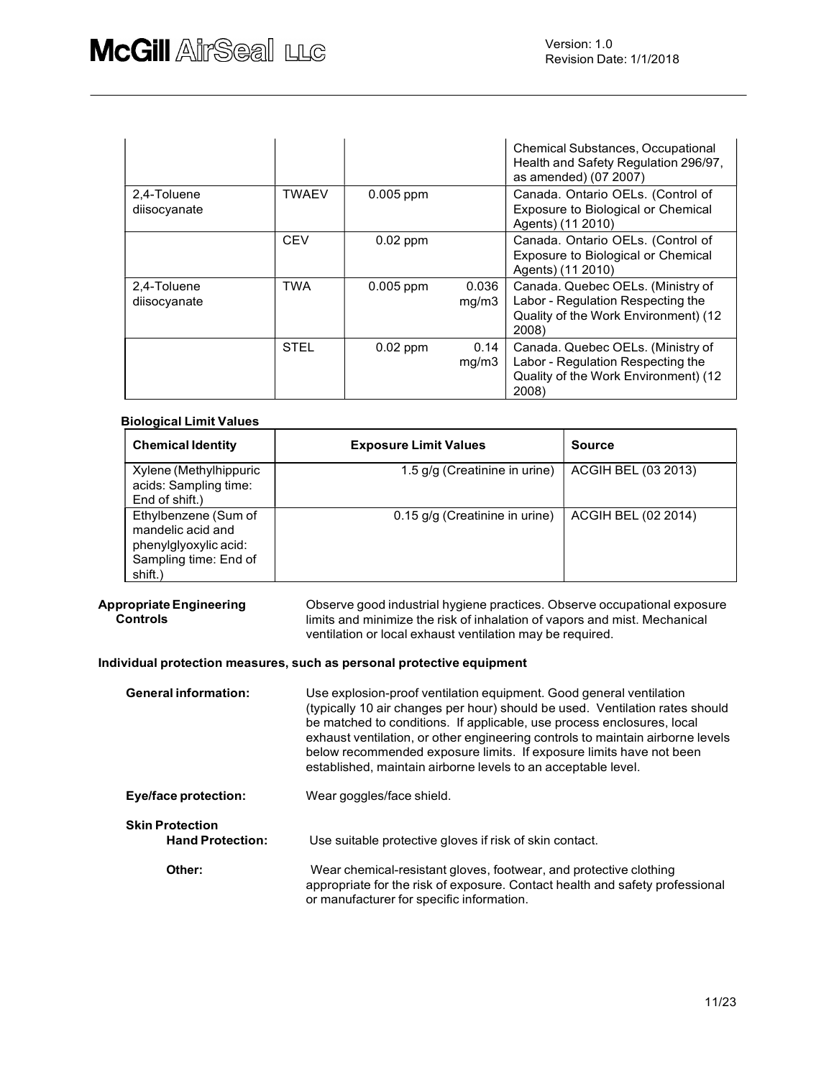|                             |             |             |                | <b>Chemical Substances, Occupational</b><br>Health and Safety Regulation 296/97,<br>as amended) (07 2007)               |
|-----------------------------|-------------|-------------|----------------|-------------------------------------------------------------------------------------------------------------------------|
| 2,4-Toluene<br>diisocyanate | TWAEV       | $0.005$ ppm |                | Canada. Ontario OELs. (Control of<br>Exposure to Biological or Chemical<br>Agents) (11 2010)                            |
|                             | <b>CEV</b>  | $0.02$ ppm  |                | Canada. Ontario OELs. (Control of<br>Exposure to Biological or Chemical<br>Agents) (11 2010)                            |
| 2,4-Toluene<br>diisocyanate | <b>TWA</b>  | 0.005 ppm   | 0.036<br>mg/m3 | Canada. Quebec OELs. (Ministry of<br>Labor - Regulation Respecting the<br>Quality of the Work Environment) (12<br>2008) |
|                             | <b>STEL</b> | $0.02$ ppm  | 0.14<br>mq/m3  | Canada. Quebec OELs. (Ministry of<br>Labor - Regulation Respecting the<br>Quality of the Work Environment) (12<br>2008) |

#### Biological Limit Values

| <b>Chemical Identity</b>                                                                               | <b>Exposure Limit Values</b>   | <b>Source</b>       |
|--------------------------------------------------------------------------------------------------------|--------------------------------|---------------------|
| Xylene (Methylhippuric<br>acids: Sampling time:<br>End of shift.)                                      | 1.5 g/g (Creatinine in urine)  | ACGIH BEL (03 2013) |
| Ethylbenzene (Sum of<br>mandelic acid and<br>phenylglyoxylic acid:<br>Sampling time: End of<br>shift.) | 0.15 g/g (Creatinine in urine) | ACGIH BEL (02 2014) |

**Appropriate Engineering computation Apple Constant** Applene practices. Observe occupational exposure and the obse Controls limits and minimize the risk of inhalation of vapors and mist. Mechanical ventilation or local exhaust ventilation may be required.

#### Individual protection measures, such as personal protective equipment

| <b>General information:</b>                       | Use explosion-proof ventilation equipment. Good general ventilation<br>(typically 10 air changes per hour) should be used. Ventilation rates should<br>be matched to conditions. If applicable, use process enclosures, local<br>exhaust ventilation, or other engineering controls to maintain airborne levels<br>below recommended exposure limits. If exposure limits have not been<br>established, maintain airborne levels to an acceptable level. |  |
|---------------------------------------------------|---------------------------------------------------------------------------------------------------------------------------------------------------------------------------------------------------------------------------------------------------------------------------------------------------------------------------------------------------------------------------------------------------------------------------------------------------------|--|
| <b>Eye/face protection:</b>                       | Wear goggles/face shield.                                                                                                                                                                                                                                                                                                                                                                                                                               |  |
| <b>Skin Protection</b><br><b>Hand Protection:</b> | Use suitable protective gloves if risk of skin contact.                                                                                                                                                                                                                                                                                                                                                                                                 |  |
| Other:                                            | Wear chemical-resistant gloves, footwear, and protective clothing<br>appropriate for the risk of exposure. Contact health and safety professional<br>or manufacturer for specific information.                                                                                                                                                                                                                                                          |  |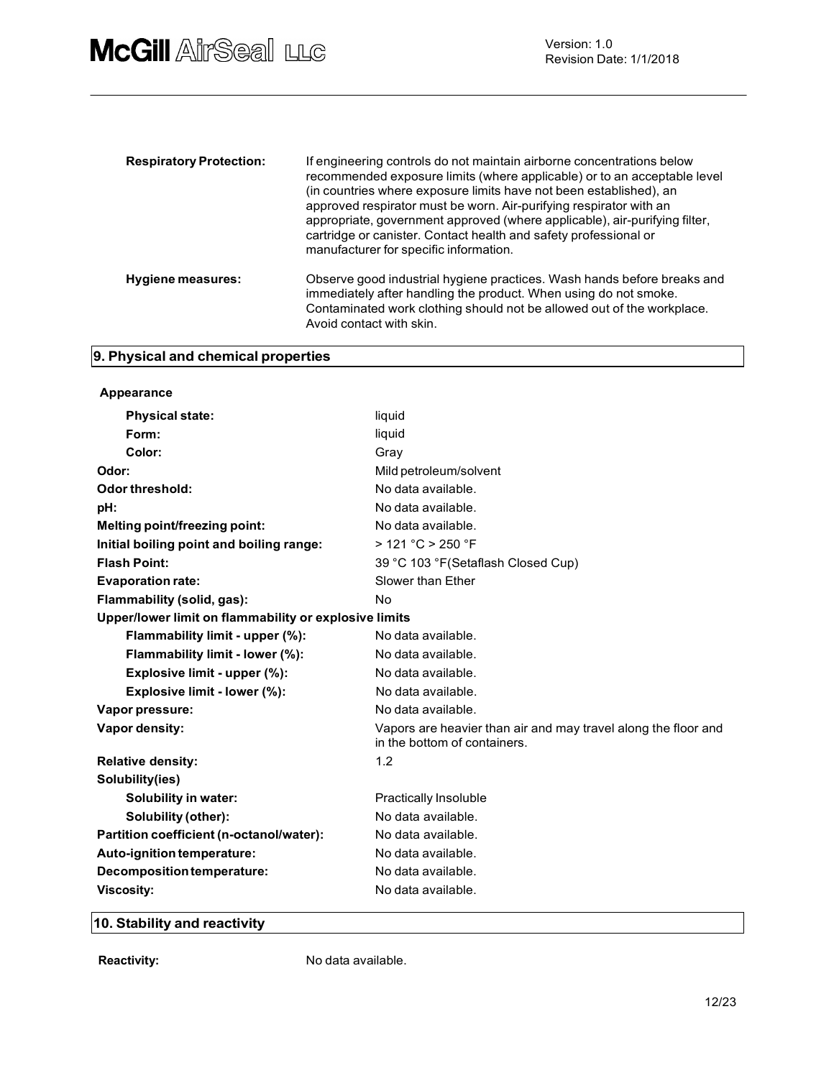| <b>Respiratory Protection:</b> | If engineering controls do not maintain airborne concentrations below<br>recommended exposure limits (where applicable) or to an acceptable level<br>(in countries where exposure limits have not been established), an<br>approved respirator must be worn. Air-purifying respirator with an<br>appropriate, government approved (where applicable), air-purifying filter,<br>cartridge or canister. Contact health and safety professional or<br>manufacturer for specific information. |  |
|--------------------------------|-------------------------------------------------------------------------------------------------------------------------------------------------------------------------------------------------------------------------------------------------------------------------------------------------------------------------------------------------------------------------------------------------------------------------------------------------------------------------------------------|--|
| <b>Hygiene measures:</b>       | Observe good industrial hygiene practices. Wash hands before breaks and<br>immediately after handling the product. When using do not smoke.<br>Contaminated work clothing should not be allowed out of the workplace.<br>Avoid contact with skin.                                                                                                                                                                                                                                         |  |

# 9. Physical and chemical properties

| Appearance                                            |                                                                                                |
|-------------------------------------------------------|------------------------------------------------------------------------------------------------|
| <b>Physical state:</b>                                | liquid                                                                                         |
| Form:                                                 | liquid                                                                                         |
| Color:                                                | Gray                                                                                           |
| Odor:                                                 | Mild petroleum/solvent                                                                         |
| <b>Odor threshold:</b>                                | No data available.                                                                             |
| pH:                                                   | No data available.                                                                             |
| Melting point/freezing point:                         | No data available.                                                                             |
| Initial boiling point and boiling range:              | > 121 °C > 250 °F                                                                              |
| <b>Flash Point:</b>                                   | 39 °C 103 °F(Setaflash Closed Cup)                                                             |
| <b>Evaporation rate:</b>                              | Slower than Ether                                                                              |
| Flammability (solid, gas):                            | No                                                                                             |
| Upper/lower limit on flammability or explosive limits |                                                                                                |
| Flammability limit - upper (%):                       | No data available.                                                                             |
| Flammability limit - lower (%):                       | No data available.                                                                             |
| Explosive limit - upper (%):                          | No data available.                                                                             |
| Explosive limit - lower (%):                          | No data available.                                                                             |
| Vapor pressure:                                       | No data available.                                                                             |
| Vapor density:                                        | Vapors are heavier than air and may travel along the floor and<br>in the bottom of containers. |
| <b>Relative density:</b>                              | 1.2                                                                                            |
| Solubility(ies)                                       |                                                                                                |
| Solubility in water:                                  | <b>Practically Insoluble</b>                                                                   |
| Solubility (other):                                   | No data available.                                                                             |
| Partition coefficient (n-octanol/water):              | No data available.                                                                             |
| Auto-ignition temperature:                            | No data available.                                                                             |
| Decomposition temperature:                            | No data available.                                                                             |
| <b>Viscosity:</b>                                     | No data available.                                                                             |
|                                                       |                                                                                                |

# 10. Stability and reactivity

Reactivity: No data available.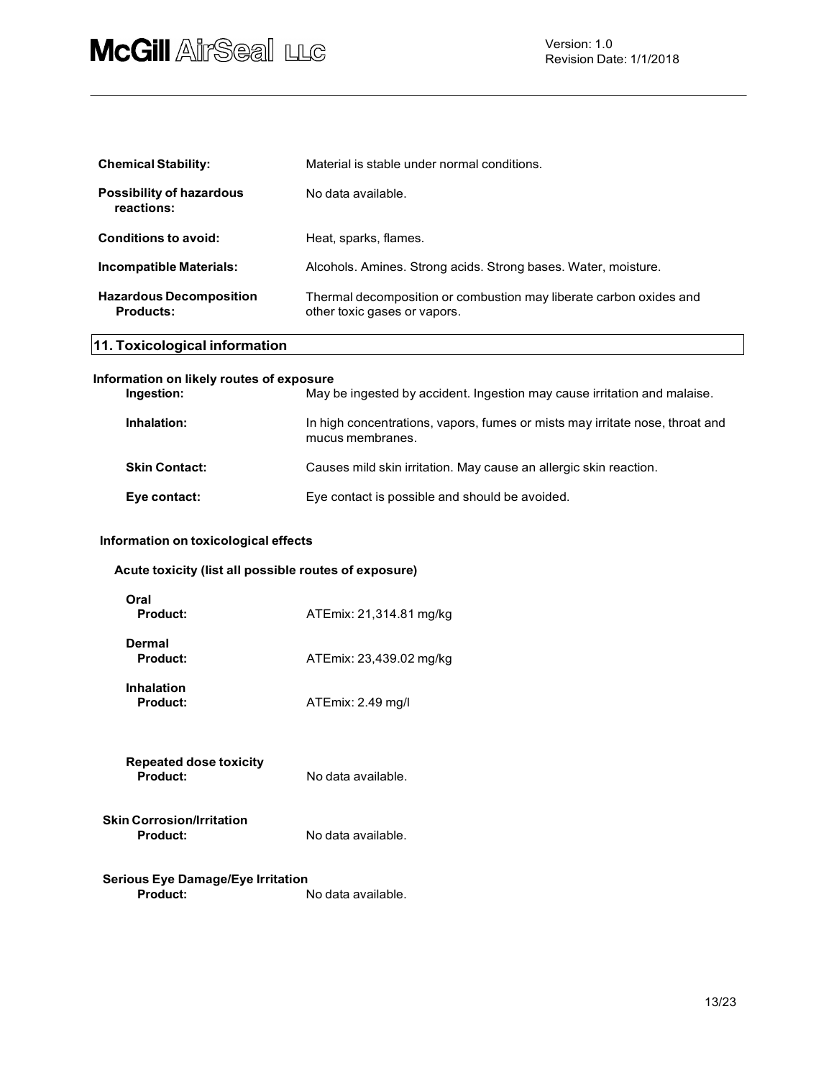| <b>Chemical Stability:</b>                         | Material is stable under normal conditions.                                                        |
|----------------------------------------------------|----------------------------------------------------------------------------------------------------|
| <b>Possibility of hazardous</b><br>reactions:      | No data available.                                                                                 |
| <b>Conditions to avoid:</b>                        | Heat, sparks, flames.                                                                              |
| Incompatible Materials:                            | Alcohols. Amines. Strong acids. Strong bases. Water, moisture.                                     |
| <b>Hazardous Decomposition</b><br><b>Products:</b> | Thermal decomposition or combustion may liberate carbon oxides and<br>other toxic gases or vapors. |

# 11. Toxicological information

| Information on likely routes of exposure |                                                                                                  |
|------------------------------------------|--------------------------------------------------------------------------------------------------|
| Ingestion:                               | May be ingested by accident. Ingestion may cause irritation and malaise.                         |
| Inhalation:                              | In high concentrations, vapors, fumes or mists may irritate nose, throat and<br>mucus membranes. |
| <b>Skin Contact:</b>                     | Causes mild skin irritation. May cause an allergic skin reaction.                                |
| Eye contact:                             | Eye contact is possible and should be avoided.                                                   |

### Information on toxicological effects

| Oral<br><b>Product:</b>                             | ATEmix: 21,314.81 mg/kg |
|-----------------------------------------------------|-------------------------|
| Dermal<br><b>Product:</b>                           | ATEmix: 23,439.02 mg/kg |
| <b>Inhalation</b><br><b>Product:</b>                | ATEmix: 2.49 mg/l       |
| <b>Repeated dose toxicity</b><br><b>Product:</b>    | No data available.      |
| <b>Skin Corrosion/Irritation</b><br><b>Product:</b> | No data available.      |

Serious Eye Damage/Eye Irritation **Product:** No data available.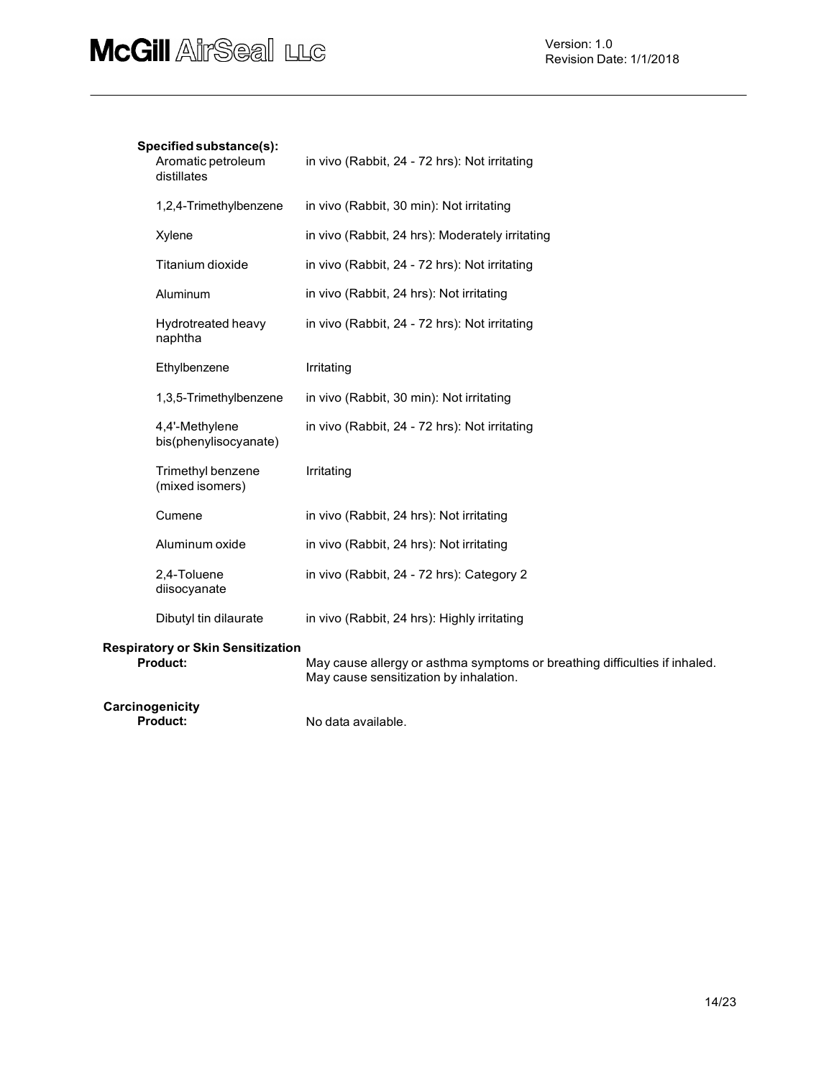### Specified substance(s):

| Aromatic petroleum<br>distillates                           | in vivo (Rabbit, 24 - 72 hrs): Not irritating                                                                        |
|-------------------------------------------------------------|----------------------------------------------------------------------------------------------------------------------|
| 1,2,4-Trimethylbenzene                                      | in vivo (Rabbit, 30 min): Not irritating                                                                             |
| Xylene                                                      | in vivo (Rabbit, 24 hrs): Moderately irritating                                                                      |
| Titanium dioxide                                            | in vivo (Rabbit, 24 - 72 hrs): Not irritating                                                                        |
| Aluminum                                                    | in vivo (Rabbit, 24 hrs): Not irritating                                                                             |
| Hydrotreated heavy<br>naphtha                               | in vivo (Rabbit, 24 - 72 hrs): Not irritating                                                                        |
| Ethylbenzene                                                | Irritating                                                                                                           |
| 1,3,5-Trimethylbenzene                                      | in vivo (Rabbit, 30 min): Not irritating                                                                             |
| 4,4'-Methylene<br>bis(phenylisocyanate)                     | in vivo (Rabbit, 24 - 72 hrs): Not irritating                                                                        |
| Trimethyl benzene<br>(mixed isomers)                        | Irritating                                                                                                           |
| Cumene                                                      | in vivo (Rabbit, 24 hrs): Not irritating                                                                             |
| Aluminum oxide                                              | in vivo (Rabbit, 24 hrs): Not irritating                                                                             |
| 2,4-Toluene<br>diisocyanate                                 | in vivo (Rabbit, 24 - 72 hrs): Category 2                                                                            |
| Dibutyl tin dilaurate                                       | in vivo (Rabbit, 24 hrs): Highly irritating                                                                          |
| <b>Respiratory or Skin Sensitization</b><br><b>Product:</b> | May cause allergy or asthma symptoms or breathing difficulties if inhaled.<br>May cause sensitization by inhalation. |

Carcinogenicity<br>Product:

No data available.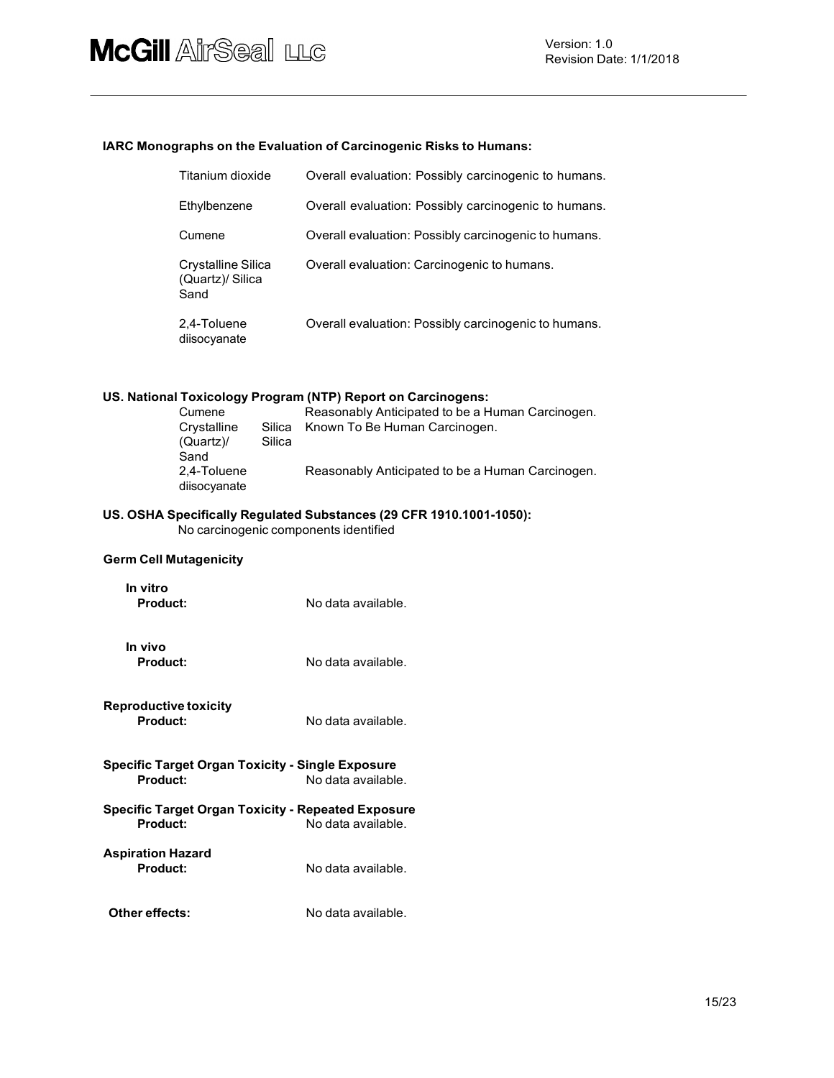#### IARC Monographs on the Evaluation of Carcinogenic Risks to Humans:

| Titanium dioxide                               | Overall evaluation: Possibly carcinogenic to humans. |
|------------------------------------------------|------------------------------------------------------|
| Ethylbenzene                                   | Overall evaluation: Possibly carcinogenic to humans. |
| Cumene                                         | Overall evaluation: Possibly carcinogenic to humans. |
| Crystalline Silica<br>(Quartz)/ Silica<br>Sand | Overall evaluation: Carcinogenic to humans.          |
| 2,4-Toluene<br>diisocyanate                    | Overall evaluation: Possibly carcinogenic to humans. |

#### US. National Toxicology Program (NTP) Report on Carcinogens:

| Cumene       |        | Reasonably Anticipated to be a Human Carcinogen. |
|--------------|--------|--------------------------------------------------|
| Crystalline  | Silica | Known To Be Human Carcinogen.                    |
| (Quartz)     | Silica |                                                  |
| Sand         |        |                                                  |
| 2.4-Toluene  |        | Reasonably Anticipated to be a Human Carcinogen. |
| diisocyanate |        |                                                  |

#### US. OSHA Specifically Regulated Substances (29 CFR 1910.1001-1050): No carcinogenic components identified

#### Germ Cell Mutagenicity

| In vitro        |                    |
|-----------------|--------------------|
| <b>Product:</b> | No data available. |

In vivo

**Product:** No data available.

- Reproductive toxicity No data available.
- Specific Target Organ Toxicity Single Exposure No data available.
- Specific Target Organ Toxicity Repeated Exposure No data available.
- Aspiration Hazard No data available.
- Other effects: No data available.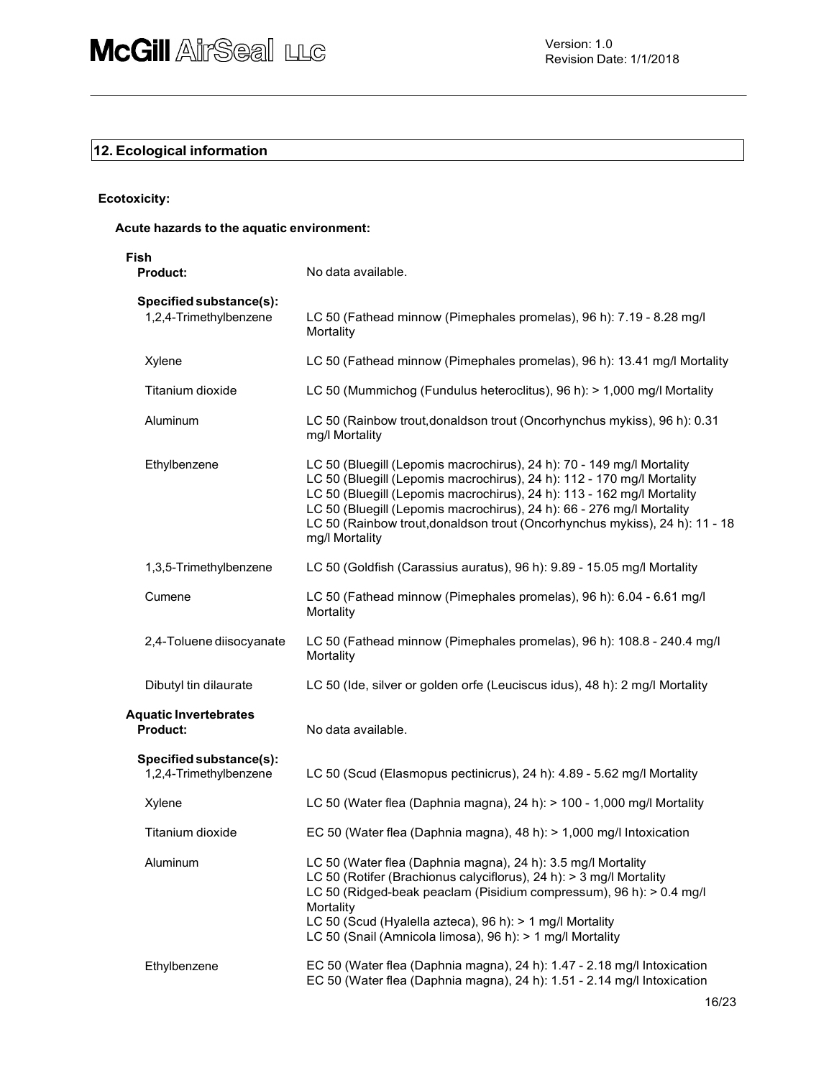# 12. Ecological information

#### Ecotoxicity:

### Acute hazards to the aquatic environment:

| Fish<br><b>Product:</b>                           | No data available.                                                                                                                                                                                                                                                                                                                                                                                  |
|---------------------------------------------------|-----------------------------------------------------------------------------------------------------------------------------------------------------------------------------------------------------------------------------------------------------------------------------------------------------------------------------------------------------------------------------------------------------|
| Specified substance(s):<br>1,2,4-Trimethylbenzene | LC 50 (Fathead minnow (Pimephales promelas), 96 h): 7.19 - 8.28 mg/l<br>Mortality                                                                                                                                                                                                                                                                                                                   |
| Xylene                                            | LC 50 (Fathead minnow (Pimephales promelas), 96 h): 13.41 mg/l Mortality                                                                                                                                                                                                                                                                                                                            |
| Titanium dioxide                                  | LC 50 (Mummichog (Fundulus heteroclitus), 96 h): > 1,000 mg/l Mortality                                                                                                                                                                                                                                                                                                                             |
| Aluminum                                          | LC 50 (Rainbow trout, donaldson trout (Oncorhynchus mykiss), 96 h): 0.31<br>mg/l Mortality                                                                                                                                                                                                                                                                                                          |
| Ethylbenzene                                      | LC 50 (Bluegill (Lepomis macrochirus), 24 h): 70 - 149 mg/l Mortality<br>LC 50 (Bluegill (Lepomis macrochirus), 24 h): 112 - 170 mg/l Mortality<br>LC 50 (Bluegill (Lepomis macrochirus), 24 h): 113 - 162 mg/l Mortality<br>LC 50 (Bluegill (Lepomis macrochirus), 24 h): 66 - 276 mg/l Mortality<br>LC 50 (Rainbow trout, donaldson trout (Oncorhynchus mykiss), 24 h): 11 - 18<br>mg/l Mortality |
| 1,3,5-Trimethylbenzene                            | LC 50 (Goldfish (Carassius auratus), 96 h): 9.89 - 15.05 mg/l Mortality                                                                                                                                                                                                                                                                                                                             |
| Cumene                                            | LC 50 (Fathead minnow (Pimephales promelas), 96 h): 6.04 - 6.61 mg/l<br>Mortality                                                                                                                                                                                                                                                                                                                   |
| 2,4-Toluene diisocyanate                          | LC 50 (Fathead minnow (Pimephales promelas), 96 h): 108.8 - 240.4 mg/l<br>Mortality                                                                                                                                                                                                                                                                                                                 |
| Dibutyl tin dilaurate                             | LC 50 (Ide, silver or golden orfe (Leuciscus idus), 48 h): 2 mg/l Mortality                                                                                                                                                                                                                                                                                                                         |
| <b>Aquatic Invertebrates</b><br><b>Product:</b>   | No data available.                                                                                                                                                                                                                                                                                                                                                                                  |
| Specified substance(s):<br>1,2,4-Trimethylbenzene | LC 50 (Scud (Elasmopus pectinicrus), 24 h): 4.89 - 5.62 mg/l Mortality                                                                                                                                                                                                                                                                                                                              |
| Xylene                                            | LC 50 (Water flea (Daphnia magna), 24 h): > 100 - 1,000 mg/l Mortality                                                                                                                                                                                                                                                                                                                              |
| Titanium dioxide                                  | EC 50 (Water flea (Daphnia magna), 48 h): > 1,000 mg/l Intoxication                                                                                                                                                                                                                                                                                                                                 |
| Aluminum                                          | LC 50 (Water flea (Daphnia magna), 24 h): 3.5 mg/l Mortality<br>LC 50 (Rotifer (Brachionus calyciflorus), 24 h): > 3 mg/l Mortality<br>LC 50 (Ridged-beak peaclam (Pisidium compressum), 96 h): > 0.4 mg/l<br>Mortality<br>LC 50 (Scud (Hyalella azteca), 96 h): > 1 mg/l Mortality<br>LC 50 (Snail (Amnicola limosa), 96 h): > 1 mg/l Mortality                                                    |
| Ethylbenzene                                      | EC 50 (Water flea (Daphnia magna), 24 h): 1.47 - 2.18 mg/l Intoxication<br>EC 50 (Water flea (Daphnia magna), 24 h): 1.51 - 2.14 mg/l Intoxication                                                                                                                                                                                                                                                  |
|                                                   |                                                                                                                                                                                                                                                                                                                                                                                                     |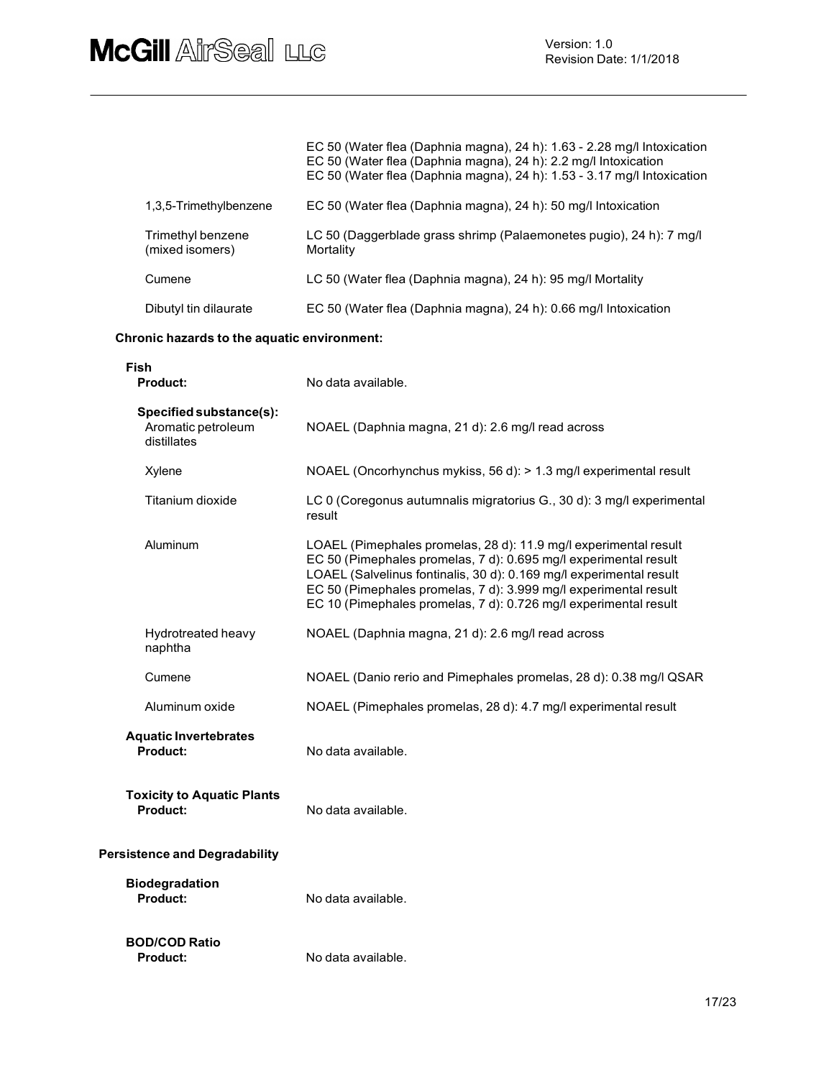|                                                              | EC 50 (Water flea (Daphnia magna), 24 h): 1.63 - 2.28 mg/l Intoxication<br>EC 50 (Water flea (Daphnia magna), 24 h): 2.2 mg/l Intoxication<br>EC 50 (Water flea (Daphnia magna), 24 h): 1.53 - 3.17 mg/l Intoxication                                                                                                                               |
|--------------------------------------------------------------|-----------------------------------------------------------------------------------------------------------------------------------------------------------------------------------------------------------------------------------------------------------------------------------------------------------------------------------------------------|
| 1,3,5-Trimethylbenzene                                       | EC 50 (Water flea (Daphnia magna), 24 h): 50 mg/l Intoxication                                                                                                                                                                                                                                                                                      |
| Trimethyl benzene<br>(mixed isomers)                         | LC 50 (Daggerblade grass shrimp (Palaemonetes pugio), 24 h): 7 mg/l<br>Mortality                                                                                                                                                                                                                                                                    |
| Cumene                                                       | LC 50 (Water flea (Daphnia magna), 24 h): 95 mg/l Mortality                                                                                                                                                                                                                                                                                         |
| Dibutyl tin dilaurate                                        | EC 50 (Water flea (Daphnia magna), 24 h): 0.66 mg/l Intoxication                                                                                                                                                                                                                                                                                    |
| Chronic hazards to the aquatic environment:                  |                                                                                                                                                                                                                                                                                                                                                     |
| Fish<br><b>Product:</b>                                      | No data available.                                                                                                                                                                                                                                                                                                                                  |
| Specified substance(s):<br>Aromatic petroleum<br>distillates | NOAEL (Daphnia magna, 21 d): 2.6 mg/l read across                                                                                                                                                                                                                                                                                                   |
| Xylene                                                       | NOAEL (Oncorhynchus mykiss, 56 d): > 1.3 mg/l experimental result                                                                                                                                                                                                                                                                                   |
| Titanium dioxide                                             | LC 0 (Coregonus autumnalis migratorius G., 30 d): 3 mg/l experimental<br>result                                                                                                                                                                                                                                                                     |
| Aluminum                                                     | LOAEL (Pimephales promelas, 28 d): 11.9 mg/l experimental result<br>EC 50 (Pimephales promelas, 7 d): 0.695 mg/l experimental result<br>LOAEL (Salvelinus fontinalis, 30 d): 0.169 mg/l experimental result<br>EC 50 (Pimephales promelas, 7 d): 3.999 mg/l experimental result<br>EC 10 (Pimephales promelas, 7 d): 0.726 mg/l experimental result |
| Hydrotreated heavy<br>naphtha                                | NOAEL (Daphnia magna, 21 d): 2.6 mg/l read across                                                                                                                                                                                                                                                                                                   |
| Cumene                                                       | NOAEL (Danio rerio and Pimephales promelas, 28 d): 0.38 mg/l QSAR                                                                                                                                                                                                                                                                                   |
| Aluminum oxide                                               | NOAEL (Pimephales promelas, 28 d): 4.7 mg/l experimental result                                                                                                                                                                                                                                                                                     |
| <b>Aquatic Invertebrates</b><br><b>Product:</b>              | No data available.                                                                                                                                                                                                                                                                                                                                  |
| <b>Toxicity to Aquatic Plants</b><br><b>Product:</b>         | No data available.                                                                                                                                                                                                                                                                                                                                  |
| <b>Persistence and Degradability</b>                         |                                                                                                                                                                                                                                                                                                                                                     |

| <b>Biodegradation</b> |                    |
|-----------------------|--------------------|
| <b>Product:</b>       | No data available. |

BOD/COD Ratio Product: No data available.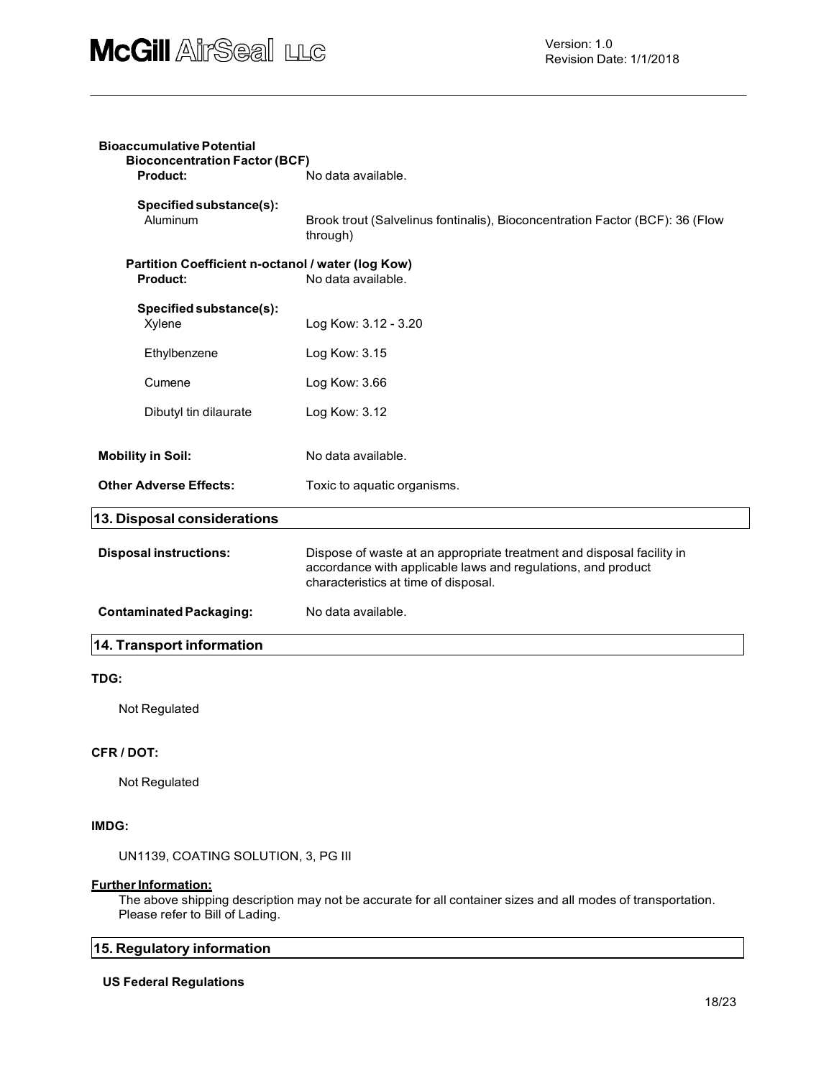| <b>Bioaccumulative Potential</b><br><b>Bioconcentration Factor (BCF)</b> |                                                                                                                                                                               |  |
|--------------------------------------------------------------------------|-------------------------------------------------------------------------------------------------------------------------------------------------------------------------------|--|
| <b>Product:</b>                                                          | No data available.                                                                                                                                                            |  |
| Specified substance(s):<br>Aluminum                                      | Brook trout (Salvelinus fontinalis), Bioconcentration Factor (BCF): 36 (Flow<br>through)                                                                                      |  |
| Partition Coefficient n-octanol / water (log Kow)<br><b>Product:</b>     | No data available.                                                                                                                                                            |  |
| Specified substance(s):<br>Xylene                                        | Log Kow: 3.12 - 3.20                                                                                                                                                          |  |
| Ethylbenzene                                                             | Log Kow: 3.15                                                                                                                                                                 |  |
| Cumene                                                                   | Log Kow: 3.66                                                                                                                                                                 |  |
| Dibutyl tin dilaurate                                                    | Log Kow: 3.12                                                                                                                                                                 |  |
| <b>Mobility in Soil:</b>                                                 | No data available.                                                                                                                                                            |  |
| <b>Other Adverse Effects:</b>                                            | Toxic to aquatic organisms.                                                                                                                                                   |  |
| 13. Disposal considerations                                              |                                                                                                                                                                               |  |
| <b>Disposal instructions:</b>                                            | Dispose of waste at an appropriate treatment and disposal facility in<br>accordance with applicable laws and regulations, and product<br>characteristics at time of disposal. |  |
| <b>Contaminated Packaging:</b>                                           | No data available.                                                                                                                                                            |  |
| 14. Transport information                                                |                                                                                                                                                                               |  |
|                                                                          |                                                                                                                                                                               |  |

#### TDG:

Not Regulated

#### CFR / DOT:

Not Regulated

#### IMDG:

UN1139, COATING SOLUTION, 3, PG III

#### Further Information:

The above shipping description may not be accurate for all container sizes and all modes of transportation. Please refer to Bill of Lading.

### 15. Regulatory information

#### US Federal Regulations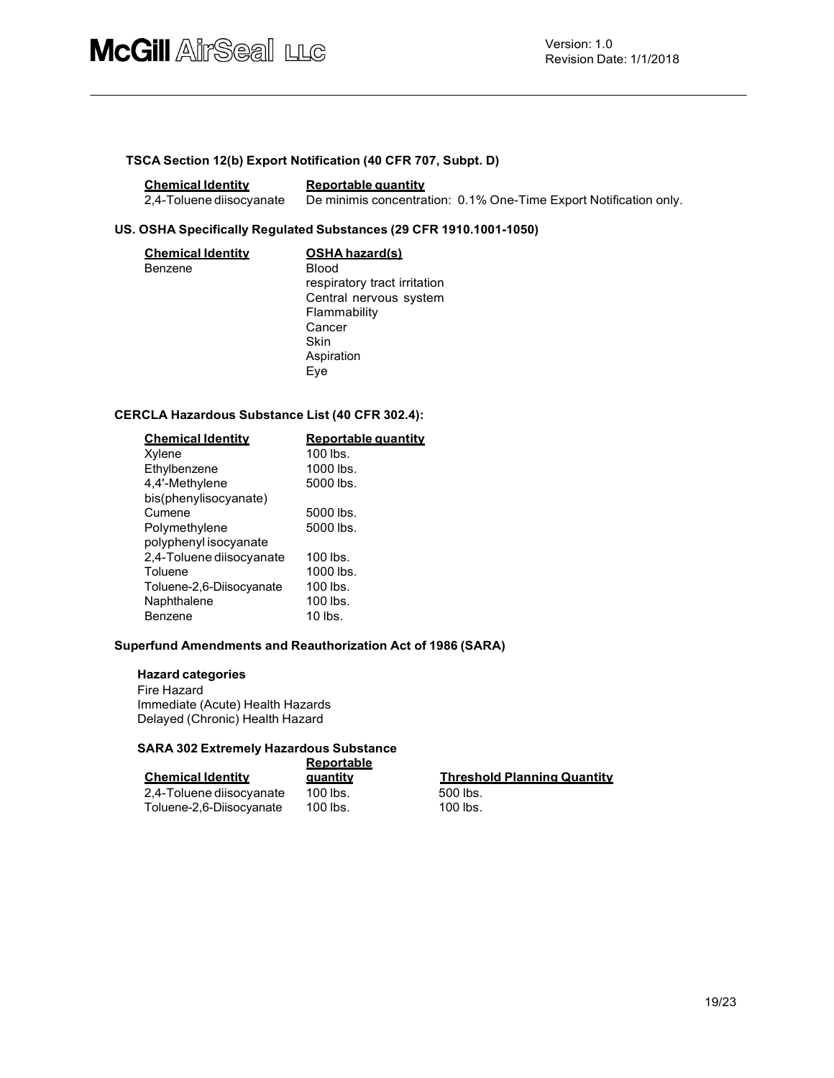#### TSCA Section 12(b) Export Notification (40 CFR 707, Subpt. D)

| <b>Chemical Identity</b> | Reportable quantity                                               |
|--------------------------|-------------------------------------------------------------------|
| 2.4-Toluene diisocvanate | De minimis concentration: 0.1% One-Time Export Notification only. |

#### US. OSHA Specifically Regulated Substances (29 CFR 1910.1001-1050)

| <b>Chemical Identity</b> | <b>OSHA hazard(s)</b>        |
|--------------------------|------------------------------|
| Benzene                  | <b>Blood</b>                 |
|                          | respiratory tract irritation |
|                          | Central nervous system       |
|                          | Flammability                 |
|                          | Cancer                       |
|                          | <b>Skin</b>                  |
|                          | Aspiration                   |
|                          | Eye                          |

#### CERCLA Hazardous Substance List (40 CFR 302.4):

| <b>Chemical Identity</b> | Reportable quantity |
|--------------------------|---------------------|
| Xylene                   | $100$ lbs.          |
| Ethylbenzene             | $1000$ lbs.         |
| 4.4'-Methylene           | 5000 lbs.           |
| bis(phenylisocyanate)    |                     |
| Cumene                   | 5000 lbs.           |
| Polymethylene            | 5000 lbs.           |
| polyphenyl isocyanate    |                     |
| 2,4-Toluene diisocyanate | $100$ lbs.          |
| Toluene                  | $1000$ lbs.         |
| Toluene-2,6-Diisocyanate | $100$ lbs.          |
| Naphthalene              | 100 lbs.            |
| Benzene                  | $10$ lbs.           |

#### Superfund Amendments and Reauthorization Act of 1986 (SARA)

#### Hazard categories

Fire Hazard Immediate (Acute) Health Hazards Delayed (Chronic) Health Hazard

#### SARA 302 Extremely Hazardous Substance

|                          | <b>Reportable</b> |                                    |
|--------------------------|-------------------|------------------------------------|
| <b>Chemical Identity</b> | auantitv          | <b>Threshold Planning Quantity</b> |
| 2,4-Toluene diisocyanate | 100 lbs.          | 500 lbs.                           |
| Toluene-2,6-Diisocyanate | $100$ lbs.        | $100$ lbs.                         |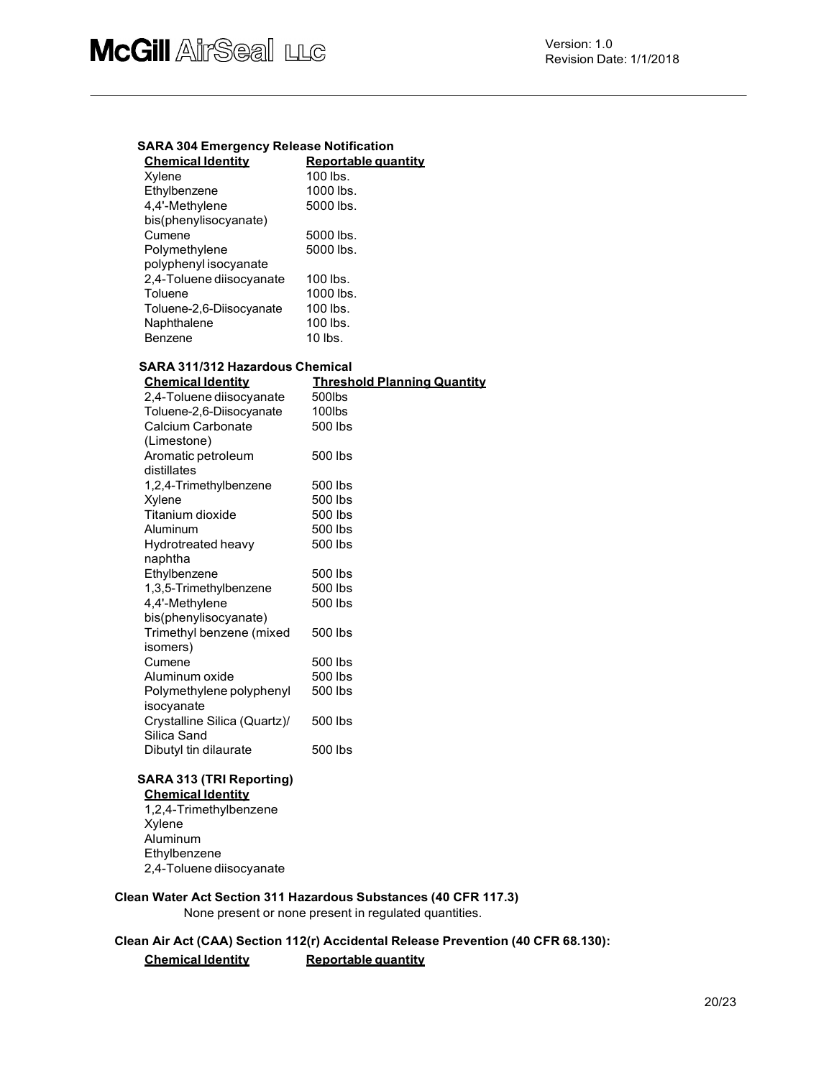#### SARA 304 Emergency Release Notification

| <b>Chemical Identity</b> | Reportable quantity |
|--------------------------|---------------------|
| Xylene                   | $100$ lbs.          |
| Ethylbenzene             | 1000 lbs.           |
| 4.4'-Methylene           | 5000 lbs.           |
| bis(phenylisocyanate)    |                     |
| Cumene                   | 5000 lbs.           |
| Polymethylene            | 5000 lbs.           |
| polyphenyl isocyanate    |                     |
| 2,4-Toluene diisocyanate | $100$ lbs.          |
| Toluene                  | 1000 lbs.           |
| Toluene-2,6-Diisocyanate | $100$ lbs.          |
| Naphthalene              | 100 lbs.            |
| Benzene                  | 10 lbs.             |

| <b>SARA 311/312 Hazardous Chemical</b> |                                    |  |  |
|----------------------------------------|------------------------------------|--|--|
| <b>Chemical Identity</b>               | <b>Threshold Planning Quantity</b> |  |  |
| 2,4-Toluene diisocyanate               | 500lbs                             |  |  |
| Toluene-2,6-Diisocyanate               | 100lbs                             |  |  |
| Calcium Carbonate                      | 500 lbs                            |  |  |
| (Limestone)                            |                                    |  |  |
| Aromatic petroleum                     | 500 lbs                            |  |  |
| distillates                            |                                    |  |  |
| 1,2,4-Trimethylbenzene                 | 500 lbs                            |  |  |
| Xylene                                 | 500 lbs                            |  |  |
| Titanium dioxide                       | 500 lbs                            |  |  |
| Aluminum                               | 500 lbs                            |  |  |
| Hydrotreated heavy                     | 500 lbs                            |  |  |
| naphtha                                |                                    |  |  |
| Ethylbenzene                           | 500 lbs                            |  |  |
| 1,3,5-Trimethylbenzene                 | 500 lbs                            |  |  |
| 4,4'-Methylene                         | 500 lbs                            |  |  |
| bis(phenylisocyanate)                  |                                    |  |  |
| Trimethyl benzene (mixed               | 500 lbs                            |  |  |
| isomers)                               |                                    |  |  |
| Cumene                                 | 500 lbs                            |  |  |
| Aluminum oxide                         | 500 lbs                            |  |  |
| Polymethylene polyphenyl               | 500 lbs                            |  |  |
| isocyanate                             |                                    |  |  |
| Crystalline Silica (Quartz)/           | 500 lbs                            |  |  |
| Silica Sand                            |                                    |  |  |
| Dibutyl tin dilaurate                  | 500 lbs                            |  |  |

#### SARA 313 (TRI Reporting) **Chemical Identity**

1,2,4-Trimethylbenzene Xylene Aluminum Ethylbenzene 2,4-Toluene diisocyanate

#### Clean Water Act Section 311 Hazardous Substances (40 CFR 117.3)

None present or none present in regulated quantities.

#### Clean Air Act (CAA) Section 112(r) Accidental Release Prevention (40 CFR 68.130):

#### Chemical Identity Reportable quantity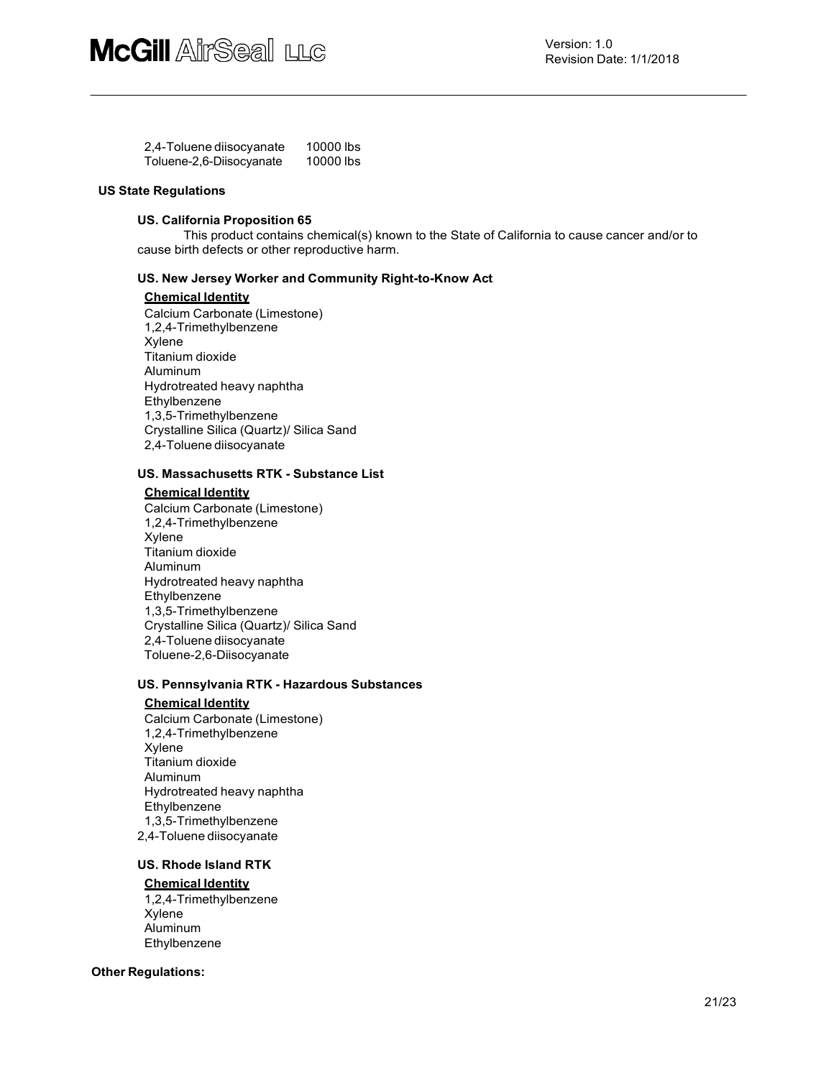| 2,4-Toluene diisocyanate | 10000 lbs |  |
|--------------------------|-----------|--|
| Toluene-2,6-Diisocyanate | 10000 lbs |  |

#### US State Regulations

#### US. California Proposition 65

This product contains chemical(s) known to the State of California to cause cancer and/or to cause birth defects or other reproductive harm.

#### US. New Jersey Worker and Community Right-to-Know Act

#### Chemical Identity

Calcium Carbonate (Limestone) 1,2,4-Trimethylbenzene Xylene Titanium dioxide Aluminum Hydrotreated heavy naphtha Ethylbenzene 1,3,5-Trimethylbenzene Crystalline Silica (Quartz)/ Silica Sand 2,4-Toluene diisocyanate

#### US. Massachusetts RTK - Substance List

#### Chemical Identity

Calcium Carbonate (Limestone) 1,2,4-Trimethylbenzene Xylene Titanium dioxide Aluminum Hydrotreated heavy naphtha Ethylbenzene 1,3,5-Trimethylbenzene Crystalline Silica (Quartz)/ Silica Sand 2,4-Toluene diisocyanate Toluene-2,6-Diisocyanate

#### US. Pennsylvania RTK - Hazardous Substances

#### Chemical Identity

Calcium Carbonate (Limestone) 1,2,4-Trimethylbenzene Xylene Titanium dioxide Aluminum Hydrotreated heavy naphtha Ethylbenzene 1,3,5-Trimethylbenzene 2,4-Toluene diisocyanate

#### US. Rhode Island RTK

#### Chemical Identity

1,2,4-Trimethylbenzene Xylene Aluminum Ethylbenzene

#### Other Regulations: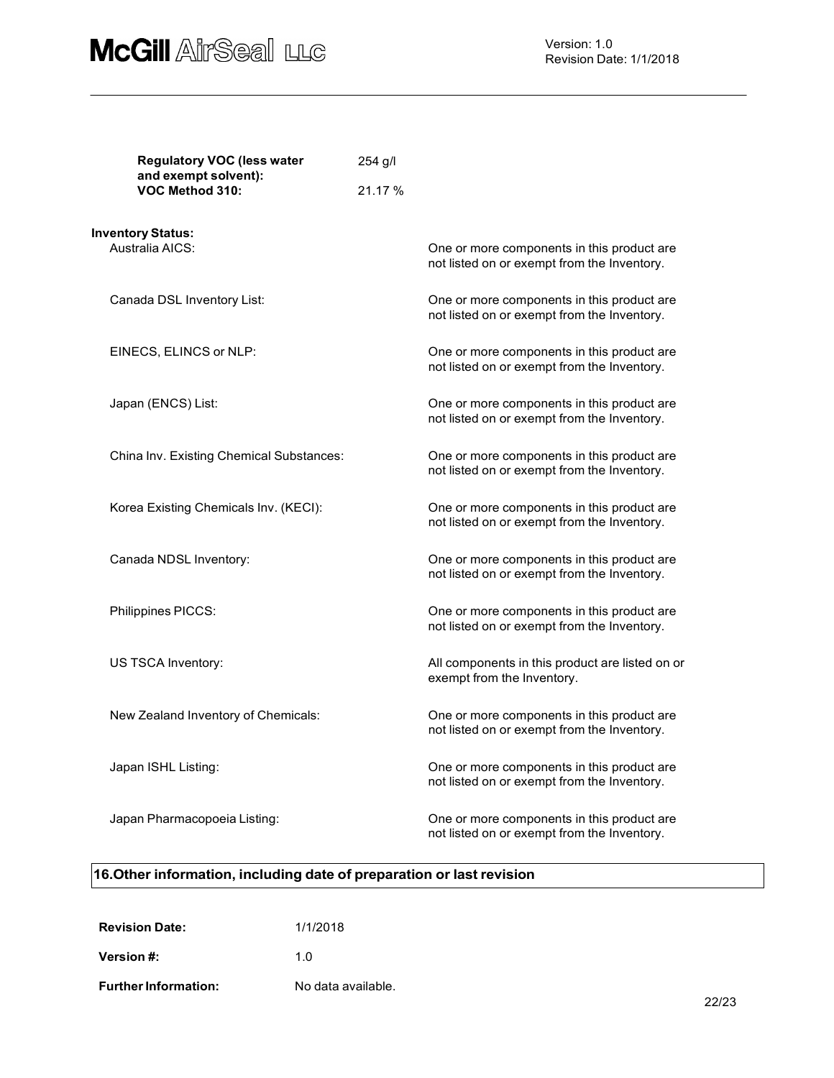

Version: 1.0 Revision Date: 1/1/2018

| <b>Regulatory VOC (less water</b><br>and exempt solvent): |                                          | 254 g/l |                                                                                            |  |
|-----------------------------------------------------------|------------------------------------------|---------|--------------------------------------------------------------------------------------------|--|
|                                                           | VOC Method 310:                          | 21.17 % |                                                                                            |  |
|                                                           | <b>Inventory Status:</b>                 |         |                                                                                            |  |
|                                                           | Australia AICS:                          |         | One or more components in this product are.<br>not listed on or exempt from the Inventory. |  |
|                                                           | Canada DSL Inventory List:               |         | One or more components in this product are<br>not listed on or exempt from the Inventory.  |  |
|                                                           | EINECS, ELINCS or NLP:                   |         | One or more components in this product are<br>not listed on or exempt from the Inventory.  |  |
|                                                           | Japan (ENCS) List:                       |         | One or more components in this product are<br>not listed on or exempt from the Inventory.  |  |
|                                                           | China Inv. Existing Chemical Substances: |         | One or more components in this product are<br>not listed on or exempt from the Inventory.  |  |
|                                                           | Korea Existing Chemicals Inv. (KECI):    |         | One or more components in this product are<br>not listed on or exempt from the Inventory.  |  |
|                                                           | Canada NDSL Inventory:                   |         | One or more components in this product are<br>not listed on or exempt from the Inventory.  |  |
|                                                           | Philippines PICCS:                       |         | One or more components in this product are<br>not listed on or exempt from the Inventory.  |  |
|                                                           | US TSCA Inventory:                       |         | All components in this product are listed on or<br>exempt from the Inventory.              |  |
|                                                           | New Zealand Inventory of Chemicals:      |         | One or more components in this product are.<br>not listed on or exempt from the Inventory. |  |
|                                                           | Japan ISHL Listing:                      |         | One or more components in this product are<br>not listed on or exempt from the Inventory.  |  |
|                                                           | Japan Pharmacopoeia Listing:             |         | One or more components in this product are<br>not listed on or exempt from the Inventory.  |  |

# 16.Other information, including date of preparation or last revision

| <b>Revision Date:</b>       | 1/1/2018           |
|-----------------------------|--------------------|
| <b>Version #:</b>           | 1.0                |
| <b>Further Information:</b> | No data available. |